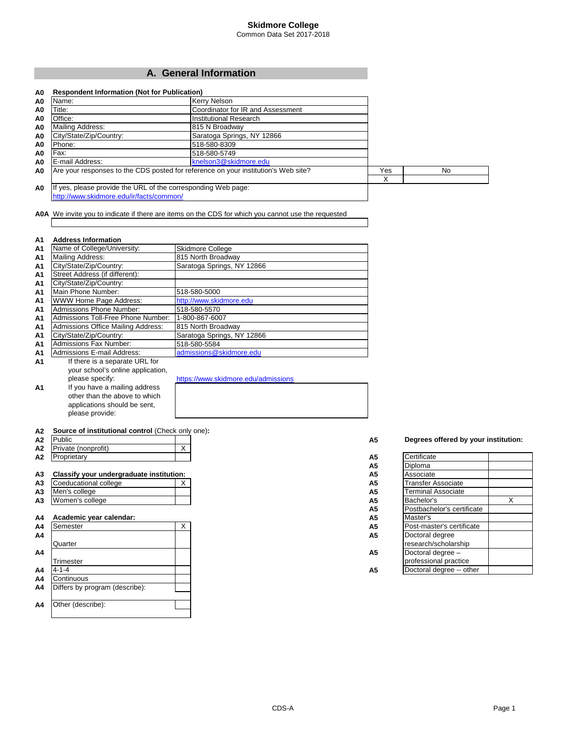### **Skidmore College** Common Data Set 2017-2018

**A. General Information**

| A0 | <b>Respondent Information (Not for Publication)</b>           |                                                                                    |     |     |
|----|---------------------------------------------------------------|------------------------------------------------------------------------------------|-----|-----|
| A0 | Name:                                                         | Kerry Nelson                                                                       |     |     |
| A0 | Title:                                                        | Coordinator for IR and Assessment                                                  |     |     |
| A0 | Office:                                                       | Institutional Research                                                             |     |     |
| A0 | Mailing Address:                                              | 815 N Broadway                                                                     |     |     |
| A0 | City/State/Zip/Country:                                       | Saratoga Springs, NY 12866                                                         |     |     |
| A0 | Phone:                                                        | 518-580-8309                                                                       |     |     |
| A0 | Fax:                                                          | 518-580-5749                                                                       |     |     |
| A0 | E-mail Address:                                               | knelson3@skidmore.edu                                                              |     |     |
| A0 |                                                               | Are your responses to the CDS posted for reference on your institution's Web site? | Yes | No. |
|    |                                                               |                                                                                    | X   |     |
| A0 | If yes, please provide the URL of the corresponding Web page: |                                                                                    |     |     |
|    | http://www.skidmore.edu/ir/facts/common/                      |                                                                                    |     |     |

**A0A** We invite you to indicate if there are items on the CDS for which you cannot use the requested

#### **A1 Address Information**

| A <sub>1</sub> | Name of College/University:        | <b>Skidmore College</b>             |
|----------------|------------------------------------|-------------------------------------|
| A1             | Mailing Address:                   | 815 North Broadway                  |
| A1             | City/State/Zip/Country:            | Saratoga Springs, NY 12866          |
| A1             | Street Address (if different):     |                                     |
| A1             | City/State/Zip/Country:            |                                     |
| A1             | Main Phone Number:                 | 518-580-5000                        |
| A1             | WWW Home Page Address:             | http://www.skidmore.edu             |
| A1             | <b>Admissions Phone Number:</b>    | 518-580-5570                        |
| A1             | Admissions Toll-Free Phone Number: | 1-800-867-6007                      |
| A1             | Admissions Office Mailing Address: | 815 North Broadway                  |
| A1             | City/State/Zip/Country:            | Saratoga Springs, NY 12866          |
| A1             | Admissions Fax Number:             | 518-580-5584                        |
| A <sub>1</sub> | Admissions E-mail Address:         | admissions@skidmore.edu             |
| A1             | If there is a separate URL for     |                                     |
|                | your school's online application,  |                                     |
|                | please specify:                    | https://www.skidmore.edu/admissions |
| A1             | If you have a mailing address      |                                     |
|                | other than the above to which      |                                     |
|                | applications should be sent,       |                                     |

**A2 Source of institutional control** (Check only one)**:**

please provide:

| A2             | Public                                   |   | Degrees offered by your instituti<br>A5     |   |
|----------------|------------------------------------------|---|---------------------------------------------|---|
| A2             | Private (nonprofit)                      | X |                                             |   |
| A2             | Proprietary                              |   | Certificate<br>A <sub>5</sub>               |   |
|                |                                          |   | <b>Diploma</b><br>A <sub>5</sub>            |   |
| A <sub>3</sub> | Classify your undergraduate institution: |   | Associate<br>A <sub>5</sub>                 |   |
| A <sub>3</sub> | Coeducational college                    | X | <b>Transfer Associate</b><br>A <sub>5</sub> |   |
| A <sub>3</sub> | Men's college                            |   | <b>Terminal Associate</b><br>A <sub>5</sub> |   |
| A <sub>3</sub> | Women's college                          |   | Bachelor's<br>A5                            | Χ |
|                |                                          |   | Postbachelor's certificate<br>A5            |   |
| A4             | Academic year calendar:                  |   | Master's<br>A <sub>5</sub>                  |   |
| A4             | Semester                                 | X | Post-master's certificate<br>A5             |   |
| A4             |                                          |   | Doctoral degree<br>A <sub>5</sub>           |   |
|                | Quarter                                  |   | research/scholarship                        |   |
| A4             |                                          |   | A <sub>5</sub><br>Doctoral degree -         |   |
|                | Trimester                                |   | professional practice                       |   |
| A4             | $4 - 1 - 4$                              |   | Doctoral degree -- other<br>A <sub>5</sub>  |   |
| A4             | Continuous                               |   |                                             |   |
| A4             | Differs by program (describe):           |   |                                             |   |
|                |                                          |   |                                             |   |
| A4             | Other (describe):                        |   |                                             |   |
|                |                                          |   |                                             |   |

A5 **Degrees offered by your institution:** 

| A5             | Certificate                |   |
|----------------|----------------------------|---|
| A5             | Diploma                    |   |
| A <sub>5</sub> | Associate                  |   |
| А5             | Transfer Associate         |   |
| A <sub>5</sub> | Terminal Associate         |   |
| А5             | Bachelor's                 | X |
| А5             | Postbachelor's certificate |   |
| A <sub>5</sub> | Master's                   |   |
| A5             | Post-master's certificate  |   |
| A5             | Doctoral degree            |   |
|                | research/scholarship       |   |
| A <sub>5</sub> | Doctoral degree -          |   |
|                | professional practice      |   |
| А5             | Doctoral degree -- other   |   |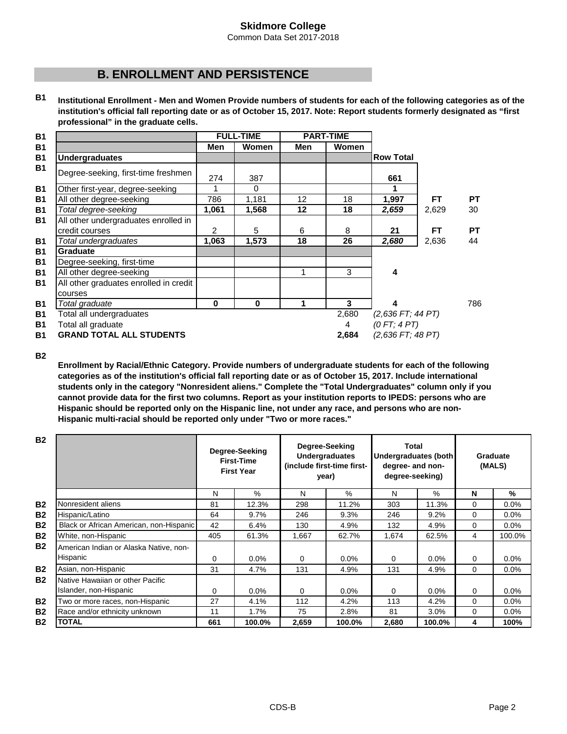Common Data Set 2017-2018

# **B. ENROLLMENT AND PERSISTENCE**

**B1 Institutional Enrollment - Men and Women Provide numbers of students for each of the following categories as of the institution's official fall reporting date or as of October 15, 2017. Note: Report students formerly designated as "first professional" in the graduate cells.**

|                                                        |                | <b>FULL-TIME</b> |     | <b>PART-TIME</b> |                                   |           |           |
|--------------------------------------------------------|----------------|------------------|-----|------------------|-----------------------------------|-----------|-----------|
|                                                        | Men            | <b>Women</b>     | Men | <b>Women</b>     |                                   |           |           |
| <b>Undergraduates</b>                                  |                |                  |     |                  | <b>Row Total</b>                  |           |           |
| Degree-seeking, first-time freshmen                    | 274            | 387              |     |                  | 661                               |           |           |
| Other first-year, degree-seeking                       | 1              | $\Omega$         |     |                  |                                   |           |           |
| All other degree-seeking                               | 786            | 1,181            | 12  | 18               | 1,997                             | FТ        | <b>PT</b> |
| Total degree-seeking                                   | 1,061          | 1,568            | 12  | 18               | 2,659                             | 2,629     | 30        |
| All other undergraduates enrolled in<br>credit courses | $\overline{2}$ | 5                | 6   | 8                | 21                                | <b>FT</b> | <b>PT</b> |
| Total undergraduates                                   | 1,063          | 1,573            | 18  | 26               | 2,680                             | 2,636     | 44        |
| <b>Graduate</b>                                        |                |                  |     |                  |                                   |           |           |
| Degree-seeking, first-time                             |                |                  |     |                  |                                   |           |           |
| All other degree-seeking                               |                |                  |     | 3                | 4                                 |           |           |
| All other graduates enrolled in credit<br>courses      |                |                  |     |                  |                                   |           |           |
| Total graduate                                         | 0              | $\bf{0}$         | 1   | 3                | 4                                 |           | 786       |
| Total all undergraduates<br>Total all graduate         |                |                  |     | 2,680<br>4       | $(2,636$ FT; 44 PT)<br>(0FT; 4PT) |           |           |
| <b>GRAND TOTAL ALL STUDENTS</b>                        |                |                  |     | 2,684            | $(2,636$ FT; 48 PT)               |           |           |

**B2**

**Enrollment by Racial/Ethnic Category. Provide numbers of undergraduate students for each of the following categories as of the institution's official fall reporting date or as of October 15, 2017. Include international students only in the category "Nonresident aliens." Complete the "Total Undergraduates" column only if you cannot provide data for the first two columns. Report as your institution reports to IPEDS: persons who are Hispanic should be reported only on the Hispanic line, not under any race, and persons who are non-Hispanic multi-racial should be reported only under "Two or more races."** 

| <b>B2</b> |                                                            |     | Degree-Seeking<br><b>First-Time</b><br><b>First Year</b> | Degree-Seeking<br><b>Undergraduates</b><br>(include first-time first-<br>year) |         | Total<br>Undergraduates (both<br>degree- and non-<br>degree-seeking) |         | Graduate<br>(MALS) |         |
|-----------|------------------------------------------------------------|-----|----------------------------------------------------------|--------------------------------------------------------------------------------|---------|----------------------------------------------------------------------|---------|--------------------|---------|
|           |                                                            | N   | $\%$                                                     | N                                                                              | $\%$    | N                                                                    | $\%$    | N                  | %       |
| <b>B2</b> | Nonresident aliens                                         | 81  | 12.3%                                                    | 298                                                                            | 11.2%   | 303                                                                  | 11.3%   | $\Omega$           | $0.0\%$ |
| <b>B2</b> | Hispanic/Latino                                            | 64  | 9.7%                                                     | 246                                                                            | 9.3%    | 246                                                                  | 9.2%    | $\Omega$           | $0.0\%$ |
| <b>B2</b> | Black or African American, non-Hispanic                    | 42  | 6.4%                                                     | 130                                                                            | 4.9%    | 132                                                                  | 4.9%    | $\Omega$           | $0.0\%$ |
| <b>B2</b> | White, non-Hispanic                                        | 405 | 61.3%                                                    | 1.667                                                                          | 62.7%   | 1.674                                                                | 62.5%   | 4                  | 100.0%  |
| <b>B2</b> | American Indian or Alaska Native, non-<br>Hispanic         | 0   | $0.0\%$                                                  | 0                                                                              | $0.0\%$ | $\Omega$                                                             | 0.0%    | 0                  | $0.0\%$ |
| <b>B2</b> | Asian, non-Hispanic                                        | 31  | 4.7%                                                     | 131                                                                            | 4.9%    | 131                                                                  | 4.9%    | $\Omega$           | $0.0\%$ |
| <b>B2</b> | Native Hawaiian or other Pacific<br>Islander, non-Hispanic | 0   | $0.0\%$                                                  | 0                                                                              | $0.0\%$ | $\Omega$                                                             | $0.0\%$ | 0                  | $0.0\%$ |
| <b>B2</b> | Two or more races, non-Hispanic                            | 27  | 4.1%                                                     | 112                                                                            | 4.2%    | 113                                                                  | 4.2%    | 0                  | $0.0\%$ |
| <b>B2</b> | Race and/or ethnicity unknown                              | 11  | 1.7%                                                     | 75                                                                             | 2.8%    | 81                                                                   | 3.0%    | $\Omega$           | $0.0\%$ |
| <b>B2</b> | TOTAL                                                      | 661 | 100.0%                                                   | 2,659                                                                          | 100.0%  | 2,680                                                                | 100.0%  | 4                  | 100%    |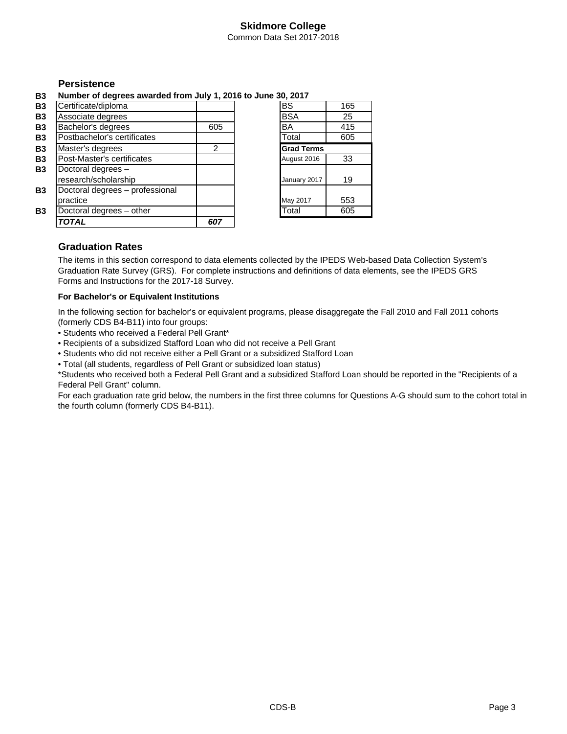Common Data Set 2017-2018

# **Persistence**

**B3 Number of degrees awarded from July 1, 2016 to June 30, 2017**

| <b>B3</b> | Certificate/diploma             |     | $\overline{\mathsf{BS}}$ | 165 |
|-----------|---------------------------------|-----|--------------------------|-----|
| <b>B3</b> | Associate degrees               |     | <b>BSA</b>               | 25  |
| <b>B3</b> | Bachelor's degrees              | 605 | <b>BA</b>                | 415 |
| <b>B3</b> | Postbachelor's certificates     |     | Total                    | 605 |
| <b>B3</b> | Master's degrees                | 2   | <b>Grad Terms</b>        |     |
| <b>B3</b> | Post-Master's certificates      |     | August 2016              | 33  |
| <b>B3</b> | Doctoral degrees -              |     |                          |     |
|           | research/scholarship            |     | January 2017             | 19  |
| <b>B3</b> | Doctoral degrees - professional |     |                          |     |
|           | practice                        |     | May 2017                 | 553 |
| <b>B3</b> | Doctoral degrees - other        |     | Total                    | 605 |
|           | TOTAL                           | 607 |                          |     |

# **Graduation Rates**

The items in this section correspond to data elements collected by the IPEDS Web-based Data Collection System's Graduation Rate Survey (GRS). For complete instructions and definitions of data elements, see the IPEDS GRS Forms and Instructions for the 2017-18 Survey.

### **For Bachelor's or Equivalent Institutions**

In the following section for bachelor's or equivalent programs, please disaggregate the Fall 2010 and Fall 2011 cohorts (formerly CDS B4-B11) into four groups:

- Students who received a Federal Pell Grant\*
- Recipients of a subsidized Stafford Loan who did not receive a Pell Grant
- Students who did not receive either a Pell Grant or a subsidized Stafford Loan
- Total (all students, regardless of Pell Grant or subsidized loan status)

\*Students who received both a Federal Pell Grant and a subsidized Stafford Loan should be reported in the "Recipients of a Federal Pell Grant" column.

For each graduation rate grid below, the numbers in the first three columns for Questions A-G should sum to the cohort total in the fourth column (formerly CDS B4-B11).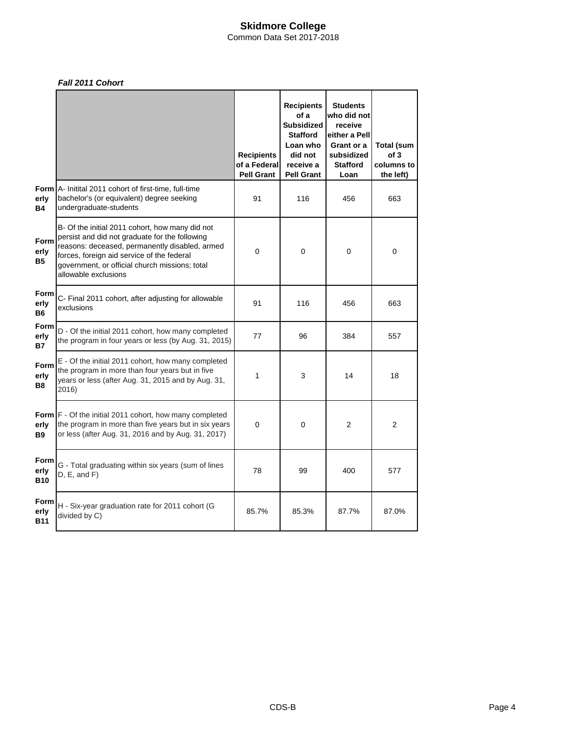Common Data Set 2017-2018

### *Fall 2011 Cohort*

|                            |                                                                                                                                                                                                                                                                             | <b>Recipients</b><br>of a Federal<br><b>Pell Grant</b> | <b>Recipients</b><br>of a<br><b>Subsidized</b><br><b>Stafford</b><br>Loan who<br>did not<br>receive a<br><b>Pell Grant</b> | <b>Students</b><br>who did not<br>receive<br>either a Pell<br>Grant or a<br>subsidized<br><b>Stafford</b><br>Loan | <b>Total (sum</b><br>of 3<br>columns to<br>the left) |
|----------------------------|-----------------------------------------------------------------------------------------------------------------------------------------------------------------------------------------------------------------------------------------------------------------------------|--------------------------------------------------------|----------------------------------------------------------------------------------------------------------------------------|-------------------------------------------------------------------------------------------------------------------|------------------------------------------------------|
| erly<br><b>B4</b>          | <b>Form</b> A- Initital 2011 cohort of first-time, full-time<br>bachelor's (or equivalent) degree seeking<br>undergraduate-students                                                                                                                                         | 91                                                     | 116                                                                                                                        | 456                                                                                                               | 663                                                  |
| Form<br>erly<br><b>B5</b>  | B- Of the initial 2011 cohort, how many did not<br>persist and did not graduate for the following<br>reasons: deceased, permanently disabled, armed<br>forces, foreign aid service of the federal<br>government, or official church missions; total<br>allowable exclusions | $\mathbf 0$                                            | 0                                                                                                                          | 0                                                                                                                 | 0                                                    |
| Form<br>erly<br><b>B6</b>  | C- Final 2011 cohort, after adjusting for allowable<br>exclusions                                                                                                                                                                                                           | 91                                                     | 116                                                                                                                        | 456                                                                                                               | 663                                                  |
| Form<br>erly<br><b>B7</b>  | D - Of the initial 2011 cohort, how many completed<br>the program in four years or less (by Aug. 31, 2015)                                                                                                                                                                  | 77                                                     | 96                                                                                                                         | 384                                                                                                               | 557                                                  |
| Form<br>erly<br><b>B8</b>  | E - Of the initial 2011 cohort, how many completed<br>the program in more than four years but in five<br>years or less (after Aug. 31, 2015 and by Aug. 31,<br>2016)                                                                                                        | 1                                                      | 3                                                                                                                          | 14                                                                                                                | 18                                                   |
| erly<br><b>B9</b>          | Form F - Of the initial 2011 cohort, how many completed<br>the program in more than five years but in six years<br>or less (after Aug. 31, 2016 and by Aug. 31, 2017)                                                                                                       | $\Omega$                                               | 0                                                                                                                          | $\overline{2}$                                                                                                    | 2                                                    |
| Form<br>erly<br><b>B10</b> | G - Total graduating within six years (sum of lines<br>D, E, and F)                                                                                                                                                                                                         | 78                                                     | 99                                                                                                                         | 400                                                                                                               | 577                                                  |
| Form<br>erly<br><b>B11</b> | H - Six-year graduation rate for 2011 cohort (G<br>divided by C)                                                                                                                                                                                                            | 85.7%                                                  | 85.3%                                                                                                                      | 87.7%                                                                                                             | 87.0%                                                |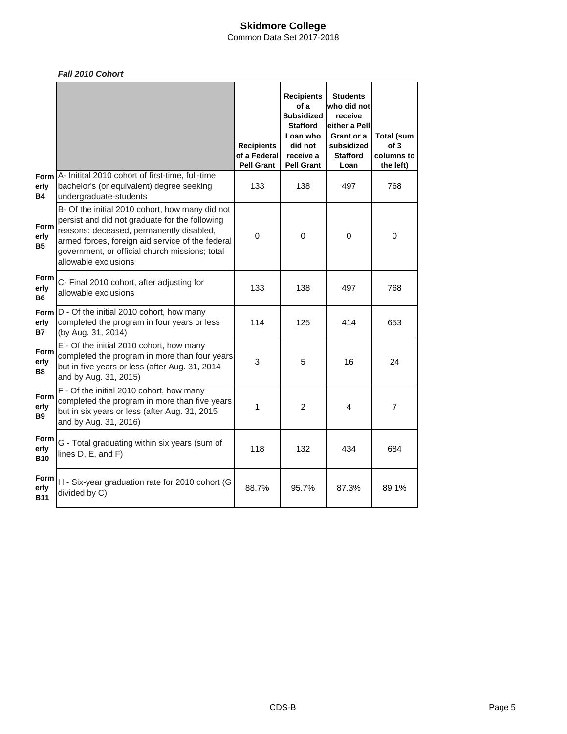Common Data Set 2017-2018

## *Fall 2010 Cohort*

|                            |                                                                                                                                                                                                                                                                             | <b>Recipients</b><br>of a Federal<br><b>Pell Grant</b> | <b>Recipients</b><br>of a<br>Subsidized<br>Stafford<br>Loan who<br>did not<br>receive a<br><b>Pell Grant</b> | <b>Students</b><br>who did not<br>receive<br>either a Pell<br>Grant or a<br>subsidized<br><b>Stafford</b><br>Loan | Total (sum<br>of 3<br>columns to<br>the left) |
|----------------------------|-----------------------------------------------------------------------------------------------------------------------------------------------------------------------------------------------------------------------------------------------------------------------------|--------------------------------------------------------|--------------------------------------------------------------------------------------------------------------|-------------------------------------------------------------------------------------------------------------------|-----------------------------------------------|
| Form<br>erly<br><b>B4</b>  | A- Initital 2010 cohort of first-time, full-time<br>bachelor's (or equivalent) degree seeking<br>undergraduate-students                                                                                                                                                     | 133                                                    | 138                                                                                                          | 497                                                                                                               | 768                                           |
| Form<br>erly<br>B5         | B- Of the initial 2010 cohort, how many did not<br>persist and did not graduate for the following<br>reasons: deceased, permanently disabled,<br>armed forces, foreign aid service of the federal<br>government, or official church missions; total<br>allowable exclusions | $\mathbf 0$                                            | $\mathbf 0$                                                                                                  | $\mathbf 0$                                                                                                       | $\mathbf 0$                                   |
| Form<br>erly<br><b>B6</b>  | C- Final 2010 cohort, after adjusting for<br>allowable exclusions                                                                                                                                                                                                           | 133                                                    | 138                                                                                                          | 497                                                                                                               | 768                                           |
| Form<br>erly<br>B7         | D - Of the initial 2010 cohort, how many<br>completed the program in four years or less<br>(by Aug. 31, 2014)                                                                                                                                                               | 114                                                    | 125                                                                                                          | 414                                                                                                               | 653                                           |
| Form<br>erly<br><b>B8</b>  | E - Of the initial 2010 cohort, how many<br>completed the program in more than four years<br>but in five years or less (after Aug. 31, 2014<br>and by Aug. 31, 2015)                                                                                                        | 3                                                      | 5                                                                                                            | 16                                                                                                                | 24                                            |
| Form<br>erly<br>B9         | F - Of the initial 2010 cohort, how many<br>completed the program in more than five years<br>but in six years or less (after Aug. 31, 2015<br>and by Aug. 31, 2016)                                                                                                         | 1                                                      | 2                                                                                                            | 4                                                                                                                 | $\overline{7}$                                |
| Form<br>erly<br><b>B10</b> | G - Total graduating within six years (sum of<br>lines D, E, and F)                                                                                                                                                                                                         | 118                                                    | 132                                                                                                          | 434                                                                                                               | 684                                           |
| Form<br>erly<br>B11        | H - Six-year graduation rate for 2010 cohort (G<br>divided by C)                                                                                                                                                                                                            | 88.7%                                                  | 95.7%                                                                                                        | 87.3%                                                                                                             | 89.1%                                         |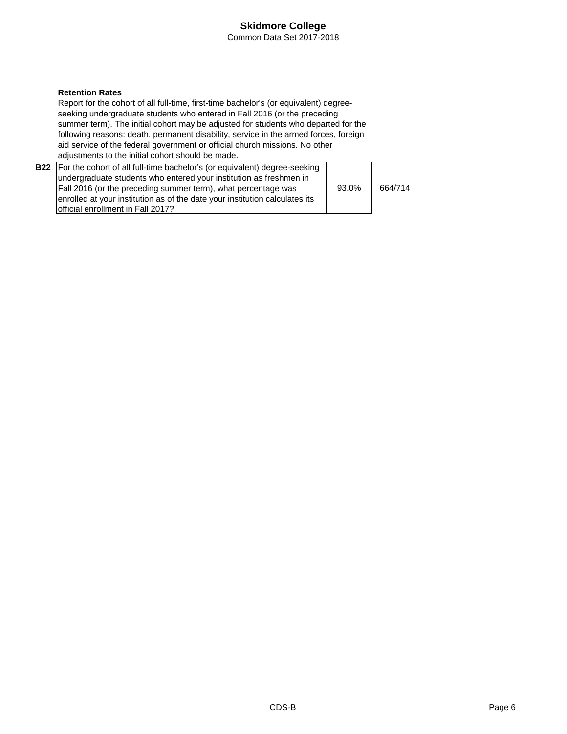### **Skidmore College** Common Data Set 2017-2018

### **Retention Rates**

Report for the cohort of all full-time, first-time bachelor's (or equivalent) degreeseeking undergraduate students who entered in Fall 2016 (or the preceding summer term). The initial cohort may be adjusted for students who departed for the following reasons: death, permanent disability, service in the armed forces, foreign aid service of the federal government or official church missions. No other adjustments to the initial cohort should be made.

| <b>B22</b>   For the cohort of all full-time bachelor's (or equivalent) degree-seeking |       |         |
|----------------------------------------------------------------------------------------|-------|---------|
| undergraduate students who entered your institution as freshmen in                     |       |         |
| Fall 2016 (or the preceding summer term), what percentage was                          | 93.0% | 664/714 |
| enrolled at your institution as of the date your institution calculates its            |       |         |
| <b>Iofficial enrollment in Fall 2017?</b>                                              |       |         |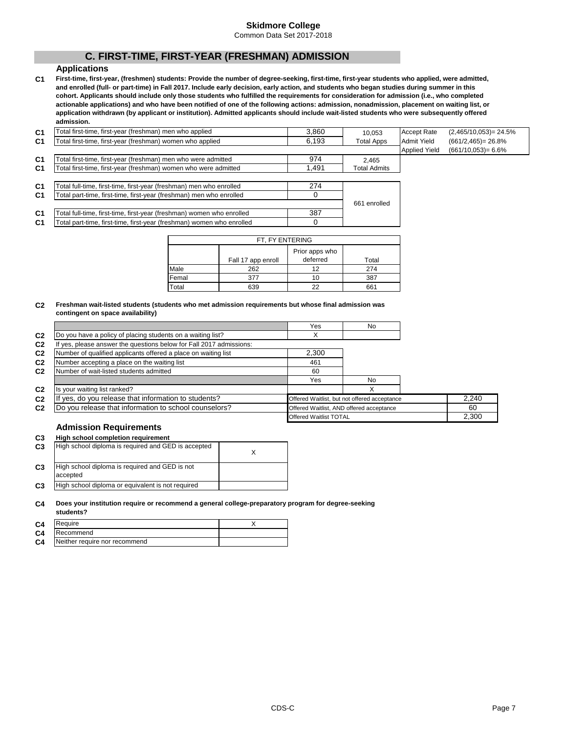Common Data Set 2017-2018

# **C. FIRST-TIME, FIRST-YEAR (FRESHMAN) ADMISSION**

### **Applications**

**C1 First-time, first-year, (freshmen) students: Provide the number of degree-seeking, first-time, first-year students who applied, were admitted, and enrolled (full- or part-time) in Fall 2017. Include early decision, early action, and students who began studies during summer in this cohort. Applicants should include only those students who fulfilled the requirements for consideration for admission (i.e., who completed actionable applications) and who have been notified of one of the following actions: admission, nonadmission, placement on waiting list, or application withdrawn (by applicant or institution). Admitted applicants should include wait-listed students who were subsequently offered admission.**

| C1             | Total first-time, first-year (freshman) men who applied               | 3.860 | 10.053              | <b>Accept Rate</b>   | $(2,465/10,053) = 24.5\%$ |
|----------------|-----------------------------------------------------------------------|-------|---------------------|----------------------|---------------------------|
| C <sub>1</sub> | Total first-time, first-year (freshman) women who applied             | 6,193 | <b>Total Apps</b>   | <b>Admit Yield</b>   | $(661/2, 465) = 26.8\%$   |
|                |                                                                       |       |                     | <b>Applied Yield</b> | $(661/10.053) = 6.6\%$    |
| C <sub>1</sub> | Total first-time, first-year (freshman) men who were admitted         | 974   | 2.465               |                      |                           |
| C <sub>1</sub> | Total first-time, first-year (freshman) women who were admitted       | 1.491 | <b>Total Admits</b> |                      |                           |
|                |                                                                       |       |                     |                      |                           |
| C <sub>1</sub> | Total full-time, first-time, first-year (freshman) men who enrolled   | 274   |                     |                      |                           |
| C <sub>1</sub> | Total part-time, first-time, first-year (freshman) men who enrolled   |       |                     |                      |                           |
|                |                                                                       |       | 661 enrolled        |                      |                           |
| C <sub>1</sub> | Total full-time, first-time, first-year (freshman) women who enrolled | 387   |                     |                      |                           |
| C <sub>1</sub> | Total part-time, first-time, first-year (freshman) women who enrolled |       |                     |                      |                           |

| FT, FY ENTERING |                    |                            |       |  |  |  |  |  |
|-----------------|--------------------|----------------------------|-------|--|--|--|--|--|
|                 | Fall 17 app enroll | Prior apps who<br>deferred | Total |  |  |  |  |  |
| Male            | 262                | 12                         | 274   |  |  |  |  |  |
| Femal           | 377                | 10                         | 387   |  |  |  |  |  |
| Total           | 639                | つつ                         | 661   |  |  |  |  |  |

#### **C2 Freshman wait-listed students (students who met admission requirements but whose final admission was contingent on space availability)**

|                |                                                                     | Yes                           | No                                           |  |       |
|----------------|---------------------------------------------------------------------|-------------------------------|----------------------------------------------|--|-------|
| C <sub>2</sub> | Do you have a policy of placing students on a waiting list?         |                               |                                              |  |       |
| C <sub>2</sub> | If yes, please answer the questions below for Fall 2017 admissions: |                               |                                              |  |       |
| C <sub>2</sub> | Number of qualified applicants offered a place on waiting list      | 2.300                         |                                              |  |       |
| C <sub>2</sub> | Number accepting a place on the waiting list                        | 461                           |                                              |  |       |
| C <sub>2</sub> | Number of wait-listed students admitted                             | 60                            |                                              |  |       |
|                |                                                                     | Yes                           | No                                           |  |       |
| C <sub>2</sub> | Is your waiting list ranked?                                        |                               | X                                            |  |       |
| C <sub>2</sub> | If yes, do you release that information to students?                |                               | Offered Waitlist, but not offered acceptance |  | 2.240 |
| C <sub>2</sub> | Do you release that information to school counselors?               |                               | Offered Waitlist, AND offered acceptance     |  | 60    |
|                |                                                                     | <b>Offered Waitlist TOTAL</b> |                                              |  | 2.300 |

### **Admission Requirements**

#### **C3 High school completion requirement**

| C <sub>3</sub> | High school diploma is required and GED is accepted        |  |
|----------------|------------------------------------------------------------|--|
| C <sub>3</sub> | High school diploma is required and GED is not<br>accepted |  |
| C <sub>3</sub> | High school diploma or equivalent is not required          |  |

#### **C4 Does your institution require or recommend a general college-preparatory program for degree-seeking**

|                | students?                     |  |
|----------------|-------------------------------|--|
| C <sub>4</sub> | Require                       |  |
| C <sub>4</sub> | Recommend                     |  |
| C <sub>4</sub> | Neither require nor recommend |  |

2,300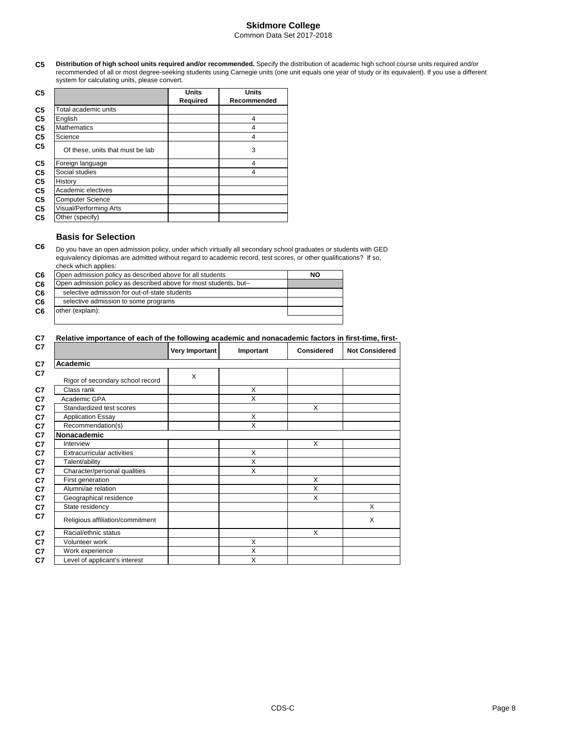### **Skidmore College** Common Data Set 2017-2018

**C5 Distribution of high school units required and/or recommended.** Specify the distribution of academic high school course units required and/or recommended of all or most degree-seeking students using Carnegie units (one unit equals one year of study or its equivalent). If you use a different system for calculating units, please convert.

| C <sub>5</sub> |                                  | <b>Units</b> | <b>Units</b> |
|----------------|----------------------------------|--------------|--------------|
|                |                                  | Required     | Recommended  |
| C <sub>5</sub> | Total academic units             |              |              |
| C <sub>5</sub> | English                          |              | 4            |
| C <sub>5</sub> | <b>Mathematics</b>               |              | 4            |
| C <sub>5</sub> | Science                          |              | 4            |
| C5             | Of these, units that must be lab |              | 3            |
| C <sub>5</sub> | Foreign language                 |              | 4            |
| C <sub>5</sub> | Social studies                   |              | 4            |
| C <sub>5</sub> | History                          |              |              |
| C <sub>5</sub> | Academic electives               |              |              |
| C <sub>5</sub> | <b>Computer Science</b>          |              |              |
| C <sub>5</sub> | Visual/Performing Arts           |              |              |
| C <sub>5</sub> | Other (specify)                  |              |              |

### **Basis for Selection**

**C6** Do you have an open admission policy, under which virtually all secondary school graduates or students with GED equivalency diplomas are admitted without regard to academic record, test scores, or other qualifications? If so, check which applies:

| C <sub>6</sub> | Open admission policy as described above for all students         | NO |
|----------------|-------------------------------------------------------------------|----|
| C <sub>6</sub> | Open admission policy as described above for most students, but-- |    |
| C <sub>6</sub> | selective admission for out-of-state students                     |    |
| C <sub>6</sub> | selective admission to some programs                              |    |
| C <sub>6</sub> | other (explain):                                                  |    |
|                |                                                                   |    |

#### **C7 Relative importance of each of the following academic and nonacademic factors in first-time, first-**

|                                   | <b>Very Important</b> | Important | <b>Considered</b> | <b>Not Considered</b> |
|-----------------------------------|-----------------------|-----------|-------------------|-----------------------|
| Academic                          |                       |           |                   |                       |
|                                   | X                     |           |                   |                       |
| Rigor of secondary school record  |                       |           |                   |                       |
| Class rank                        |                       | X         |                   |                       |
| Academic GPA                      |                       | X         |                   |                       |
| Standardized test scores          |                       |           | X                 |                       |
| <b>Application Essay</b>          |                       | X         |                   |                       |
| Recommendation(s)                 |                       | X         |                   |                       |
| Nonacademic                       |                       |           |                   |                       |
| Interview                         |                       |           | X                 |                       |
| <b>Extracurricular activities</b> |                       | X         |                   |                       |
| Talent/ability                    |                       | X         |                   |                       |
| Character/personal qualities      |                       | X         |                   |                       |
| First generation                  |                       |           | X                 |                       |
| Alumni/ae relation                |                       |           | X                 |                       |
| Geographical residence            |                       |           | X                 |                       |
| State residency                   |                       |           |                   | X                     |
| Religious affiliation/commitment  |                       |           |                   | X                     |
| Racial/ethnic status              |                       |           | X                 |                       |
| Volunteer work                    |                       | X         |                   |                       |
| Work experience                   |                       | X         |                   |                       |
| Level of applicant's interest     |                       | X         |                   |                       |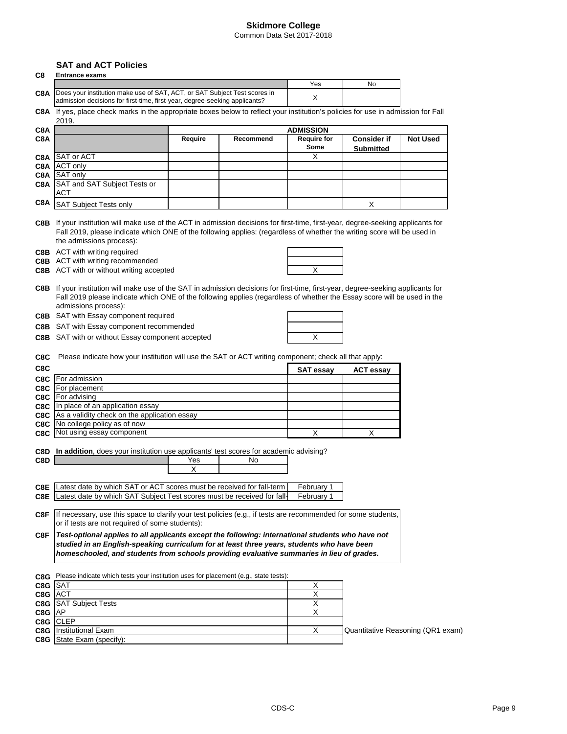Common Data Set 2017-2018

# **SAT and ACT Policies**

| C8   | <b>Entrance exams</b>                                                                                                                                                                                                                                                                    |          |           |                            |                                        |                                   |
|------|------------------------------------------------------------------------------------------------------------------------------------------------------------------------------------------------------------------------------------------------------------------------------------------|----------|-----------|----------------------------|----------------------------------------|-----------------------------------|
|      |                                                                                                                                                                                                                                                                                          |          |           | Yes                        | No                                     |                                   |
| C8A  | Does your institution make use of SAT, ACT, or SAT Subject Test scores in<br>admission decisions for first-time, first-year, degree-seeking applicants?                                                                                                                                  |          |           | X                          |                                        |                                   |
|      | C8A If yes, place check marks in the appropriate boxes below to reflect your institution's policies for use in admission for Fall<br>2019.                                                                                                                                               |          |           |                            |                                        |                                   |
| C8A  |                                                                                                                                                                                                                                                                                          |          |           | ADMISSION                  |                                        |                                   |
| C8A  |                                                                                                                                                                                                                                                                                          | Require  | Recommend | <b>Require for</b><br>Some | <b>Consider if</b><br><b>Submitted</b> | <b>Not Used</b>                   |
| C8A  | <b>SAT or ACT</b>                                                                                                                                                                                                                                                                        |          |           | X                          |                                        |                                   |
| C8A  | <b>ACT only</b>                                                                                                                                                                                                                                                                          |          |           |                            |                                        |                                   |
| C8A  | SAT only                                                                                                                                                                                                                                                                                 |          |           |                            |                                        |                                   |
| C8A  | SAT and SAT Subject Tests or<br>ACT                                                                                                                                                                                                                                                      |          |           |                            |                                        |                                   |
| C8A  | SAT Subject Tests only                                                                                                                                                                                                                                                                   |          |           |                            | X                                      |                                   |
|      | C8B If your institution will make use of the ACT in admission decisions for first-time, first-year, degree-seeking applicants for<br>Fall 2019, please indicate which ONE of the following applies: (regardless of whether the writing score will be used in<br>the admissions process): |          |           |                            |                                        |                                   |
|      | <b>C8B</b> ACT with writing required                                                                                                                                                                                                                                                     |          |           |                            |                                        |                                   |
|      | <b>C8B</b> ACT with writing recommended                                                                                                                                                                                                                                                  |          |           |                            |                                        |                                   |
|      | C8B ACT with or without writing accepted                                                                                                                                                                                                                                                 |          |           | X                          |                                        |                                   |
|      | C8B If your institution will make use of the SAT in admission decisions for first-time, first-year, degree-seeking applicants for<br>Fall 2019 please indicate which ONE of the following applies (regardless of whether the Essay score will be used in the<br>admissions process):     |          |           |                            |                                        |                                   |
|      | C8B SAT with Essay component required                                                                                                                                                                                                                                                    |          |           |                            |                                        |                                   |
|      | C8B SAT with Essay component recommended                                                                                                                                                                                                                                                 |          |           |                            |                                        |                                   |
|      | C8B SAT with or without Essay component accepted                                                                                                                                                                                                                                         |          |           | Χ                          |                                        |                                   |
| C8C  | Please indicate how your institution will use the SAT or ACT writing component; check all that apply:                                                                                                                                                                                    |          |           |                            |                                        |                                   |
| C8C  |                                                                                                                                                                                                                                                                                          |          |           | SAT essay                  | <b>ACT essay</b>                       |                                   |
|      | C8C   For admission                                                                                                                                                                                                                                                                      |          |           |                            |                                        |                                   |
|      | C8C   For placement                                                                                                                                                                                                                                                                      |          |           |                            |                                        |                                   |
|      | <b>C8C</b>   For advising                                                                                                                                                                                                                                                                |          |           |                            |                                        |                                   |
|      | C8C In place of an application essay                                                                                                                                                                                                                                                     |          |           |                            |                                        |                                   |
| C8C. | As a validity check on the application essay                                                                                                                                                                                                                                             |          |           |                            |                                        |                                   |
| C8C  | No college policy as of now                                                                                                                                                                                                                                                              |          |           |                            |                                        |                                   |
|      | C8C Not using essay component                                                                                                                                                                                                                                                            |          |           | Χ                          | X                                      |                                   |
| C8D  | C8D In addition, does your institution use applicants' test scores for academic advising?                                                                                                                                                                                                | Yes<br>х | No        |                            |                                        |                                   |
|      | <b>C8E</b> Latest date by which SAT or ACT scores must be received for fall-term                                                                                                                                                                                                         |          |           | February 1                 |                                        |                                   |
| C8E  | Latest date by which SAT Subject Test scores must be received for fall-                                                                                                                                                                                                                  |          |           | February 1                 |                                        |                                   |
| C8F  | If necessary, use this space to clarify your test policies (e.g., if tests are recommended for some students,<br>or if tests are not required of some students):                                                                                                                         |          |           |                            |                                        |                                   |
| C8F  | Test-optional applies to all applicants except the following: international students who have not<br>studied in an English-speaking curriculum for at least three years, students who have been                                                                                          |          |           |                            |                                        |                                   |
|      | homeschooled, and students from schools providing evaluative summaries in lieu of grades.                                                                                                                                                                                                |          |           |                            |                                        |                                   |
|      | C8G Please indicate which tests your institution uses for placement (e.g., state tests):                                                                                                                                                                                                 |          |           |                            |                                        |                                   |
|      | C8G SAT                                                                                                                                                                                                                                                                                  |          |           | X                          |                                        |                                   |
|      | C8G ACT                                                                                                                                                                                                                                                                                  |          |           | X                          |                                        |                                   |
|      | C8G SAT Subject Tests                                                                                                                                                                                                                                                                    |          |           | х                          |                                        |                                   |
|      | C8G AP                                                                                                                                                                                                                                                                                   |          |           | X                          |                                        |                                   |
|      | C8G CLEP                                                                                                                                                                                                                                                                                 |          |           |                            |                                        |                                   |
|      | <b>C8G</b> Institutional Exam                                                                                                                                                                                                                                                            |          |           | х                          |                                        | Quantitative Reasoning (QR1 exam) |
|      | C8G State Exam (specify):                                                                                                                                                                                                                                                                |          |           |                            |                                        |                                   |
|      |                                                                                                                                                                                                                                                                                          |          |           |                            |                                        |                                   |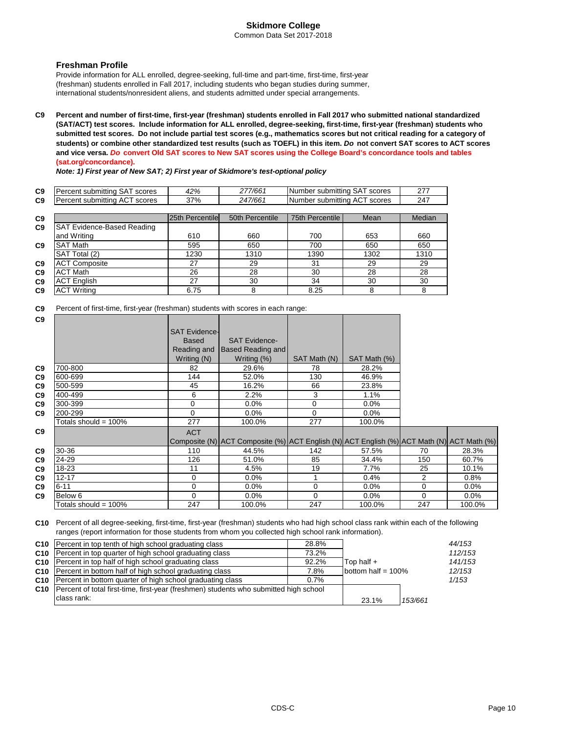Common Data Set 2017-2018

### **Freshman Profile**

Provide information for ALL enrolled, degree-seeking, full-time and part-time, first-time, first-year (freshman) students enrolled in Fall 2017, including students who began studies during summer, international students/nonresident aliens, and students admitted under special arrangements.

**C9 Percent and number of first-time, first-year (freshman) students enrolled in Fall 2017 who submitted national standardized (SAT/ACT) test scores. Include information for ALL enrolled, degree-seeking, first-time, first-year (freshman) students who submitted test scores. Do not include partial test scores (e.g., mathematics scores but not critical reading for a category of students) or combine other standardized test results (such as TOEFL) in this item.** *Do* **not convert SAT scores to ACT scores and vice versa.** *Do* **convert Old SAT scores to New SAT scores using the College Board's concordance tools and tables (sat.org/concordance).**

*Note: 1) First year of New SAT; 2) First year of Skidmore's test-optional policy*

| C <sub>9</sub> | scores<br>`submittina.<br>ею<br>ہر     | 42% | 277/661 | scores<br><b>Number</b><br>submitting<br>⊣⊂ | 277<br>21 |
|----------------|----------------------------------------|-----|---------|---------------------------------------------|-----------|
| C <sub>9</sub> | scores<br>. submittina<br>ег<br>$\sim$ | 37% | :47/661 | scores<br>INumber<br>submitting<br>AC.      | 247       |

| C <sub>9</sub> |                                   | 25th Percentile | 50th Percentile | 75th Percentile | Mean | Median |
|----------------|-----------------------------------|-----------------|-----------------|-----------------|------|--------|
| C <sub>9</sub> | <b>SAT Evidence-Based Reading</b> |                 |                 |                 |      |        |
|                | and Writing                       | 610             | 660             | 700             | 653  | 660    |
| C <sub>9</sub> | <b>SAT Math</b>                   | 595             | 650             | 700             | 650  | 650    |
|                | SAT Total (2)                     | 1230            | 1310            | 1390            | 1302 | 1310   |
| C <sub>9</sub> | <b>ACT Composite</b>              | 27              | 29              | 31              | 29   | 29     |
| C <sub>9</sub> | <b>ACT Math</b>                   | 26              | 28              | 30              | 28   | 28     |
| C <sub>9</sub> | <b>ACT English</b>                | 27              | 30              | 34              | 30   | 30     |
| C <sub>9</sub> | <b>ACT Writing</b>                | 6.75            | 8               | 8.25            |      |        |

**C9** Percent of first-time, first-year (freshman) students with scores in each range:

| C <sub>9</sub> |                         |                      |                                                                                           |              |              |          |         |
|----------------|-------------------------|----------------------|-------------------------------------------------------------------------------------------|--------------|--------------|----------|---------|
|                |                         | <b>SAT Evidence-</b> |                                                                                           |              |              |          |         |
|                |                         | <b>Based</b>         | <b>SAT Evidence-</b>                                                                      |              |              |          |         |
|                |                         | Reading and          | <b>Based Reading and</b>                                                                  |              |              |          |         |
|                |                         | Writing (N)          | Writing (%)                                                                               | SAT Math (N) | SAT Math (%) |          |         |
| C9             | 700-800                 | 82                   | 29.6%                                                                                     | 78           | 28.2%        |          |         |
| C <sub>9</sub> | 600-699                 | 144                  | 52.0%                                                                                     | 130          | 46.9%        |          |         |
| C9             | 500-599                 | 45                   | 16.2%                                                                                     | 66           | 23.8%        |          |         |
| C <sub>9</sub> | 400-499                 | 6                    | 2.2%                                                                                      | 3            | 1.1%         |          |         |
| C <sub>9</sub> | 300-399                 | 0                    | $0.0\%$                                                                                   | 0            | 0.0%         |          |         |
| C <sub>9</sub> | 200-299                 | $\Omega$             | $0.0\%$                                                                                   | 0            | 0.0%         |          |         |
|                | Totals should = $100\%$ | 277                  | 100.0%                                                                                    | 277          | 100.0%       |          |         |
| C <sub>9</sub> |                         | <b>ACT</b>           |                                                                                           |              |              |          |         |
|                |                         |                      | Composite (N) ACT Composite (%) ACT English (N) ACT English (%) ACT Math (N) ACT Math (%) |              |              |          |         |
| C9             | 30-36                   | 110                  | 44.5%                                                                                     | 142          | 57.5%        | 70       | 28.3%   |
| C <sub>9</sub> | 24-29                   | 126                  | 51.0%                                                                                     | 85           | 34.4%        | 150      | 60.7%   |
| C <sub>9</sub> | $18 - 23$               | 11                   | 4.5%                                                                                      | 19           | 7.7%         | 25       | 10.1%   |
| C <sub>9</sub> | 12-17                   | 0                    | $0.0\%$                                                                                   |              | 0.4%         | 2        | 0.8%    |
| C9             | $6 - 11$                | 0                    | $0.0\%$                                                                                   | $\Omega$     | 0.0%         | $\Omega$ | $0.0\%$ |
| C9             | Below 6                 | $\Omega$             | $0.0\%$                                                                                   | $\Omega$     | 0.0%         | $\Omega$ | $0.0\%$ |
|                | Totals should = $100\%$ | 247                  | 100.0%                                                                                    | 247          | 100.0%       | 247      | 100.0%  |

**C10** Percent of all degree-seeking, first-time, first-year (freshman) students who had high school class rank within each of the following ranges (report information for those students from whom you collected high school rank information).

| <b>C10</b> Percent in top tenth of high school graduating class<br>C10 Percent in top quarter of high school graduating class<br>C10 Percent in top half of high school graduating class<br>C10 Percent in bottom half of high school graduating class<br>C10 Percent in bottom quarter of high school graduating class | 28.8%<br>73.2%<br>92.2%<br>7.8%<br>0.7% | Top half $+$<br>bottom half = $100\%$ |         | 44/153<br>112/153<br>141/153<br>12/153<br>1/153 |
|-------------------------------------------------------------------------------------------------------------------------------------------------------------------------------------------------------------------------------------------------------------------------------------------------------------------------|-----------------------------------------|---------------------------------------|---------|-------------------------------------------------|
| <b>C10</b> Percent of total first-time, first-year (freshmen) students who submitted high school<br>class rank:                                                                                                                                                                                                         |                                         | 23.1%                                 | 153/661 |                                                 |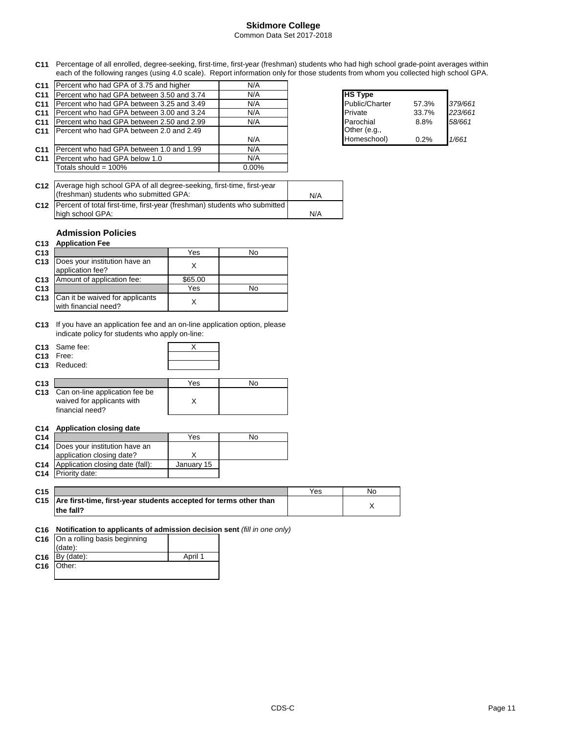### **Skidmore College** Common Data Set 2017-2018

**C11** Percentage of all enrolled, degree-seeking, first-time, first-year (freshman) students who had high school grade-point averages within each of the following ranges (using 4.0 scale). Report information only for those students from whom you collected high school GPA.

| C <sub>11</sub> | Percent who had GPA of 3.75 and higher    | N/A      |                |       |         |
|-----------------|-------------------------------------------|----------|----------------|-------|---------|
| C <sub>11</sub> | Percent who had GPA between 3.50 and 3.74 | N/A      | <b>HS Type</b> |       |         |
| C <sub>11</sub> | Percent who had GPA between 3.25 and 3.49 | N/A      | Public/Charter | 57.3% | 379/661 |
| C <sub>11</sub> | Percent who had GPA between 3.00 and 3.24 | N/A      | Private        | 33.7% | 223/661 |
| C <sub>11</sub> | Percent who had GPA between 2.50 and 2.99 | N/A      | Parochial      | 8.8%  | 58/661  |
| C <sub>11</sub> | Percent who had GPA between 2.0 and 2.49  |          | Other (e.g.,   |       |         |
|                 |                                           | N/A      | Homeschool)    | 0.2%  | 1/661   |
| C <sub>11</sub> | Percent who had GPA between 1.0 and 1.99  | N/A      |                |       |         |
| C <sub>11</sub> | Percent who had GPA below 1.0             | N/A      |                |       |         |
|                 | Totals should = $100\%$                   | $0.00\%$ |                |       |         |
|                 |                                           |          |                |       |         |

| <b>HS Type</b>            |       |         |
|---------------------------|-------|---------|
| Public/Charter            | 57.3% | 379/661 |
| Private                   | 33.7% | 223/661 |
| Parochial<br>Other (e.g., | 8.8%  | 58/661  |
| Homeschool)               | 0.2%  | 1/661   |

| C12 Average high school GPA of all degree-seeking, first-time, first-year       |     |
|---------------------------------------------------------------------------------|-----|
| (freshman) students who submitted GPA:                                          | N/A |
| C12   Percent of total first-time, first-year (freshman) students who submitted |     |
| high school GPA:                                                                | N/A |

### **Admission Policies**

### **C13 Application Fee**

| C <sub>13</sub> |                                                         | Yes     | No |
|-----------------|---------------------------------------------------------|---------|----|
| C <sub>13</sub> | Does your institution have an<br>application fee?       |         |    |
| C <sub>13</sub> | Amount of application fee:                              | \$65.00 |    |
| C <sub>13</sub> |                                                         | Yes     | No |
| C <sub>13</sub> | Can it be waived for applicants<br>with financial need? |         |    |

**C13** If you have an application fee and an on-line application option, please indicate policy for students who apply on-line:

| C <sub>13</sub> Same fee:<br>C <sub>13</sub> Free: |  |
|----------------------------------------------------|--|
| C <sub>13</sub> Reduced:                           |  |

| C <sub>13</sub> |                                    | Yes | No |
|-----------------|------------------------------------|-----|----|
|                 | C13 Can on-line application fee be |     |    |
|                 | waived for applicants with         |     |    |
|                 | financial need?                    |     |    |

#### **C14 Application closing date**

| C <sub>14</sub> |                                             | Yes        | No |
|-----------------|---------------------------------------------|------------|----|
| C14             | Does your institution have an               |            |    |
|                 | application closing date?                   |            |    |
|                 | <b>C14</b> Application closing date (fall): | January 15 |    |
|                 | C <sub>14</sub> Priority date:              |            |    |

| C <sub>15</sub> |                                                                       | Yes | No |
|-----------------|-----------------------------------------------------------------------|-----|----|
|                 | C15 Are first-time, first-year students accepted for terms other than |     |    |
|                 | the fall?                                                             |     |    |

### **C16 Notification to applicants of admission decision sent** *(fill in one only)*

| C16 On a rolling basis beginning |         |
|----------------------------------|---------|
| $(data)$ :                       |         |
| $C16$  By (date):                | April 1 |
| $C16$ Other:                     |         |
|                                  |         |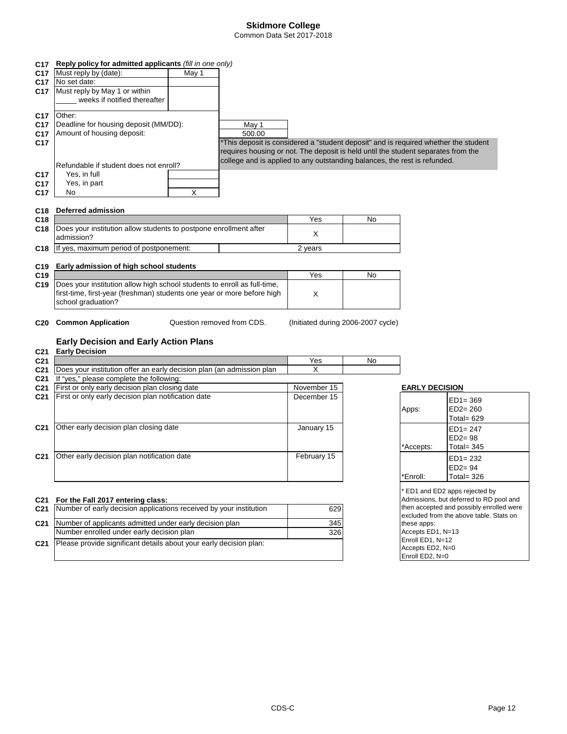### **Skidmore College** Common Data Set 2017-2018

|                 | C17 Reply policy for admitted applicants (fill in one only)              |       |                                                                                     |                                    |    |                       |                                                     |
|-----------------|--------------------------------------------------------------------------|-------|-------------------------------------------------------------------------------------|------------------------------------|----|-----------------------|-----------------------------------------------------|
| C <sub>17</sub> | Must reply by (date):                                                    | May 1 |                                                                                     |                                    |    |                       |                                                     |
| C17.            | No set date:                                                             |       |                                                                                     |                                    |    |                       |                                                     |
| C17             | Must reply by May 1 or within                                            |       |                                                                                     |                                    |    |                       |                                                     |
|                 | weeks if notified thereafter                                             |       |                                                                                     |                                    |    |                       |                                                     |
|                 |                                                                          |       |                                                                                     |                                    |    |                       |                                                     |
| C17             | Other:                                                                   |       |                                                                                     |                                    |    |                       |                                                     |
| C17             | Deadline for housing deposit (MM/DD):                                    |       | May 1                                                                               |                                    |    |                       |                                                     |
| C17             | Amount of housing deposit:                                               |       | 500.00                                                                              |                                    |    |                       |                                                     |
| C17             |                                                                          |       | *This deposit is considered a "student deposit" and is required whether the student |                                    |    |                       |                                                     |
|                 |                                                                          |       | requires housing or not. The deposit is held until the student separates from the   |                                    |    |                       |                                                     |
|                 |                                                                          |       | college and is applied to any outstanding balances, the rest is refunded.           |                                    |    |                       |                                                     |
|                 | Refundable if student does not enroll?                                   |       |                                                                                     |                                    |    |                       |                                                     |
| C17             | Yes, in full                                                             |       |                                                                                     |                                    |    |                       |                                                     |
| C17             | Yes, in part                                                             |       |                                                                                     |                                    |    |                       |                                                     |
| C17             | No                                                                       | X     |                                                                                     |                                    |    |                       |                                                     |
| C18             | <b>Deferred admission</b>                                                |       |                                                                                     |                                    |    |                       |                                                     |
| C18             |                                                                          |       |                                                                                     | Yes                                | No |                       |                                                     |
| C18             | Does your institution allow students to postpone enrollment after        |       |                                                                                     |                                    |    |                       |                                                     |
|                 | admission?                                                               |       |                                                                                     | X                                  |    |                       |                                                     |
| C18             | If yes, maximum period of postponement:                                  |       |                                                                                     | 2 years                            |    |                       |                                                     |
|                 |                                                                          |       |                                                                                     |                                    |    |                       |                                                     |
| C19             | Early admission of high school students                                  |       |                                                                                     |                                    |    |                       |                                                     |
| C19             |                                                                          |       |                                                                                     | Yes                                | No |                       |                                                     |
| C19             | Does your institution allow high school students to enroll as full-time, |       |                                                                                     |                                    |    |                       |                                                     |
|                 | first-time, first-year (freshman) students one year or more before high  |       |                                                                                     | X                                  |    |                       |                                                     |
|                 | school graduation?                                                       |       |                                                                                     |                                    |    |                       |                                                     |
|                 |                                                                          |       |                                                                                     |                                    |    |                       |                                                     |
| C <sub>20</sub> | <b>Common Application</b>                                                |       | Question removed from CDS.                                                          | (Initiated during 2006-2007 cycle) |    |                       |                                                     |
|                 |                                                                          |       |                                                                                     |                                    |    |                       |                                                     |
|                 | <b>Early Decision and Early Action Plans</b>                             |       |                                                                                     |                                    |    |                       |                                                     |
| C21             | <b>Early Decision</b>                                                    |       |                                                                                     |                                    |    |                       |                                                     |
| C21             |                                                                          |       |                                                                                     | Yes                                | No |                       |                                                     |
| C21             | Does your institution offer an early decision plan (an admission plan    |       |                                                                                     | X                                  |    |                       |                                                     |
| C21             | If "yes," please complete the following:                                 |       |                                                                                     |                                    |    |                       |                                                     |
| C21             | First or only early decision plan closing date                           |       |                                                                                     | November 15                        |    | <b>EARLY DECISION</b> |                                                     |
| C21             | First or only early decision plan notification date                      |       |                                                                                     | December 15                        |    |                       | $ED1 = 369$                                         |
|                 |                                                                          |       |                                                                                     |                                    |    | Apps:                 | $ED2 = 260$                                         |
|                 |                                                                          |       |                                                                                     |                                    |    |                       | Total= $629$                                        |
| C21             | Other early decision plan closing date                                   |       |                                                                                     | January 15                         |    |                       | $ED1 = 247$                                         |
|                 |                                                                          |       |                                                                                     |                                    |    |                       | $ED2 = 98$                                          |
|                 |                                                                          |       |                                                                                     |                                    |    |                       |                                                     |
|                 |                                                                          |       |                                                                                     |                                    |    | *Accepts:             | Total = $345$                                       |
| C21             | Other early decision plan notification date                              |       |                                                                                     | February 15                        |    |                       | $ED1 = 232$                                         |
|                 |                                                                          |       |                                                                                     |                                    |    |                       | $ED2 = 94$                                          |
|                 |                                                                          |       |                                                                                     |                                    |    | *Enroll:              | Total= $326$                                        |
|                 |                                                                          |       |                                                                                     |                                    |    |                       | ED1 and ED2 apps rejected by                        |
|                 | C21 For the Fall 2017 entering class:                                    |       |                                                                                     |                                    |    |                       | Admissions, but deferred to RD pool and             |
|                 |                                                                          |       |                                                                                     |                                    |    |                       | ويومرن اموالوعوم براطاتهموم امورم اموغوروهم ويومانا |

|                 | C21 Number of early decision applications received by your institution | 629 |
|-----------------|------------------------------------------------------------------------|-----|
| C <sub>21</sub> | Number of applicants admitted under early decision plan                | 345 |
|                 | Number enrolled under early decision plan                              | 326 |
| C <sub>21</sub> | Please provide significant details about your early decision plan:     |     |

| * ED1 and ED2 apps rejected by           |
|------------------------------------------|
| Admissions, but deferred to RD pool and  |
| then accepted and possibly enrolled were |
| excluded from the above table. Stats on  |
| these apps:                              |
| Accepts ED1. N=13                        |
| Enroll ED1, N=12                         |
| Accepts ED2, N=0                         |
| Enroll ED2, N=0                          |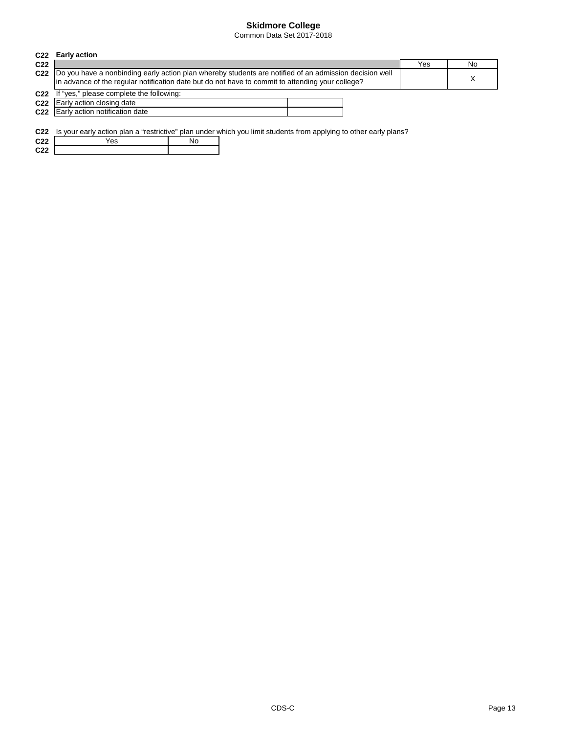Common Data Set 2017-2018

|                 | C <sub>22</sub> Early action                                                                                                                                                                                    |  |  |     |    |
|-----------------|-----------------------------------------------------------------------------------------------------------------------------------------------------------------------------------------------------------------|--|--|-----|----|
| C <sub>22</sub> |                                                                                                                                                                                                                 |  |  | Yes | No |
|                 | C22  Do you have a nonbinding early action plan whereby students are notified of an admission decision well<br>in advance of the regular notification date but do not have to commit to attending your college? |  |  |     |    |
|                 | C22 If "yes," please complete the following:                                                                                                                                                                    |  |  |     |    |
|                 | C22 Early action closing date                                                                                                                                                                                   |  |  |     |    |
|                 | C22 Early action notification date                                                                                                                                                                              |  |  |     |    |

**C22** Is your early action plan a "restrictive" plan under which you limit students from applying to other early plans?

| <u>uzz</u>      | is your early action plan a restrictive plan under |    |  |
|-----------------|----------------------------------------------------|----|--|
| C <sub>22</sub> | Yes                                                | N٥ |  |
| C <sub>22</sub> |                                                    |    |  |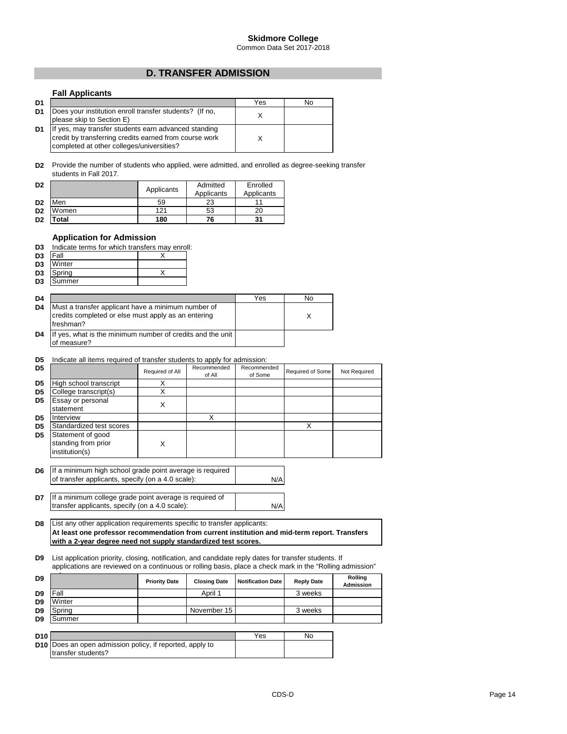Common Data Set 2017-2018

# **D. TRANSFER ADMISSION**

### **Fall Applicants**

| D <sub>1</sub> |                                                                                                                                                             | Yes | No |
|----------------|-------------------------------------------------------------------------------------------------------------------------------------------------------------|-----|----|
| D <sub>1</sub> | Does your institution enroll transfer students? (If no,<br>please skip to Section E)                                                                        |     |    |
| D <sub>1</sub> | If yes, may transfer students earn advanced standing<br>credit by transferring credits earned from course work<br>completed at other colleges/universities? |     |    |

**D2** Provide the number of students who applied, were admitted, and enrolled as degree-seeking transfer students in Fall 2017.

| D <sub>2</sub> |       | Applicants | Admitted<br>Applicants | Enrolled<br>Applicants |
|----------------|-------|------------|------------------------|------------------------|
| D <sub>2</sub> | Men   | 59         | 23                     |                        |
| D <sub>2</sub> | Women | 121        | 53                     | 20                     |
| D <sub>2</sub> | Total | 180        | 76                     | 31                     |

### **Application for Admission**

| D3             | Indicate terms for which transfers may enroll: |  |  |  |  |
|----------------|------------------------------------------------|--|--|--|--|
| D <sub>3</sub> | <b>Fall</b>                                    |  |  |  |  |
|                | D <sub>3</sub> Winter                          |  |  |  |  |
| D3             | Spring                                         |  |  |  |  |
|                |                                                |  |  |  |  |

| D3             | Summer                                                                                                                 |     |  |
|----------------|------------------------------------------------------------------------------------------------------------------------|-----|--|
| D <sub>4</sub> |                                                                                                                        | Yes |  |
| D <sub>4</sub> | Must a transfer applicant have a minimum number of<br>credits completed or else must apply as an entering<br>freshman? |     |  |
| D4             | If yes, what is the minimum number of credits and the unit<br>measure?                                                 |     |  |

#### **D5** Indicate all items required of transfer students to apply for admission:

| D <sub>5</sub> |                                                            | Required of All | Recommended<br>of All | Recommended<br>of Some | Required of Some | Not Required |
|----------------|------------------------------------------------------------|-----------------|-----------------------|------------------------|------------------|--------------|
| D <sub>5</sub> | High school transcript                                     |                 |                       |                        |                  |              |
| D <sub>5</sub> | College transcript(s)                                      |                 |                       |                        |                  |              |
| D <sub>5</sub> | <b>Essay or personal</b><br>statement                      |                 |                       |                        |                  |              |
| D <sub>5</sub> | Interview                                                  |                 |                       |                        |                  |              |
| D <sub>5</sub> | Standardized test scores                                   |                 |                       |                        |                  |              |
| D <sub>5</sub> | Statement of good<br>standing from prior<br>institution(s) | X               |                       |                        |                  |              |

**D6** If a minimum high school grade point average is required of transfer applicants, specify (on a 4.0 scale):

**D7** N/A If a minimum college grade point average is required of transfer applicants, specify (on a 4.0 scale):

**D8** List any other application requirements specific to transfer applicants: **At least one professor recommendation from current institution and mid-term report. Transfers with a 2-year degree need not supply standardized test scores.**

**D9** List application priority, closing, notification, and candidate reply dates for transfer students. If applications are reviewed on a continuous or rolling basis, place a check mark in the "Rolling admission"

| D <sub>9</sub>  |                                                                                | <b>Priority Date</b> | <b>Closing Date</b> | <b>Notification Date</b> | <b>Reply Date</b> | Rolling<br><b>Admission</b> |
|-----------------|--------------------------------------------------------------------------------|----------------------|---------------------|--------------------------|-------------------|-----------------------------|
| D <sub>9</sub>  | Fall                                                                           |                      | April 1             |                          | 3 weeks           |                             |
| D <sub>9</sub>  | Winter                                                                         |                      |                     |                          |                   |                             |
| D <sub>9</sub>  | Spring                                                                         |                      | November 15         |                          | 3 weeks           |                             |
| D <sub>9</sub>  | Summer                                                                         |                      |                     |                          |                   |                             |
|                 |                                                                                |                      |                     |                          |                   |                             |
| D <sub>10</sub> |                                                                                |                      |                     | Yes                      | No                |                             |
|                 | D10 Does an open admission policy, if reported, apply to<br>transfer students? |                      |                     |                          |                   |                             |

N/A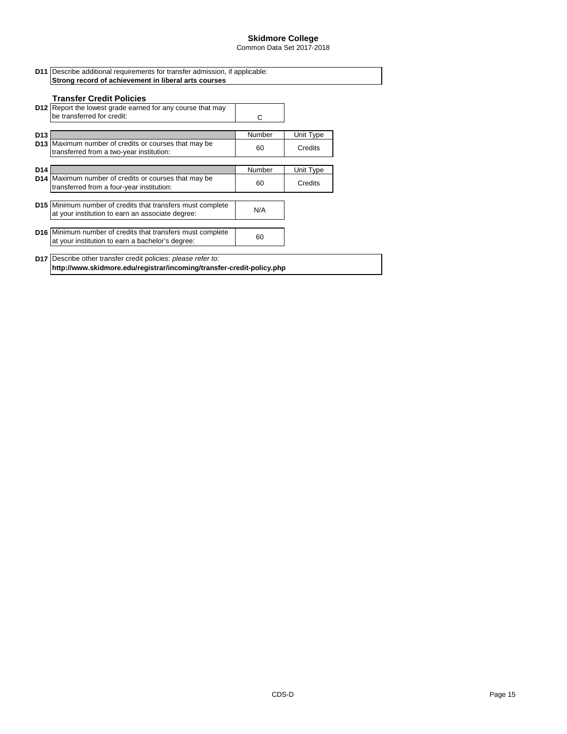Common Data Set 2017-2018

| <b>Transfer Credit Policies</b>                                                                                       |        |           |
|-----------------------------------------------------------------------------------------------------------------------|--------|-----------|
| <b>D12</b> Report the lowest grade earned for any course that may<br>be transferred for credit:                       | C      |           |
| D <sub>13</sub>                                                                                                       | Number | Unit Type |
| <b>D13</b> Maximum number of credits or courses that may be<br>transferred from a two-year institution:               | 60     | Credits   |
| D <sub>14</sub>                                                                                                       | Number | Unit Type |
| <b>D14</b> Maximum number of credits or courses that may be<br>transferred from a four-year institution:              | 60     | Credits   |
| <b>D15</b> Minimum number of credits that transfers must complete<br>at your institution to earn an associate degree: | N/A    |           |
| <b>D16</b> Minimum number of credits that transfers must complete<br>at your institution to earn a bachelor's degree: | 60     |           |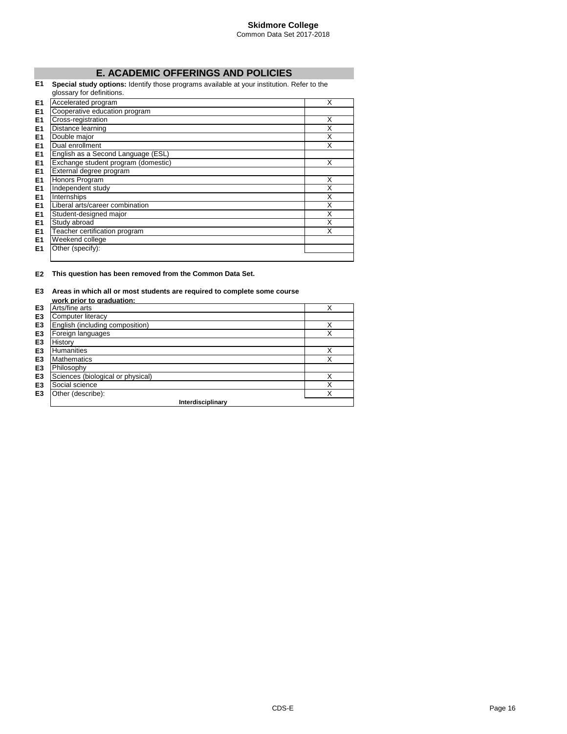Common Data Set 2017-2018

# **E. ACADEMIC OFFERINGS AND POLICIES**

**E1 Special study options:** Identify those programs available at your institution. Refer to the glossary for definitions.

|                | GIUSSAI Y IUI UUIIIIIUUIS.          |   |
|----------------|-------------------------------------|---|
| E <sub>1</sub> | Accelerated program                 | X |
| E1             | Cooperative education program       |   |
| E <sub>1</sub> | Cross-registration                  | X |
| E1             | Distance learning                   | X |
| E <sub>1</sub> | Double major                        | X |
| E <sub>1</sub> | Dual enrollment                     | X |
| E1             | English as a Second Language (ESL)  |   |
| E <sub>1</sub> | Exchange student program (domestic) | X |
| E <sub>1</sub> | External degree program             |   |
| E1             | Honors Program                      | X |
| E <sub>1</sub> | Independent study                   | X |
| E <sub>1</sub> | Internships                         | X |
| E <sub>1</sub> | Liberal arts/career combination     | X |
| E <sub>1</sub> | Student-designed major              | X |
| E1             | Study abroad                        | X |
| E1             | Teacher certification program       | X |
| E <sub>1</sub> | Weekend college                     |   |
| E1             | Other (specify):                    |   |
|                |                                     |   |

#### **E2 This question has been removed from the Common Data Set.**

#### **E3 Areas in which all or most students are required to complete some course**

|                | work prior to graduation:         |   |
|----------------|-----------------------------------|---|
| E <sub>3</sub> | Arts/fine arts                    | Χ |
| E <sub>3</sub> | Computer literacy                 |   |
| E <sub>3</sub> | English (including composition)   |   |
| E <sub>3</sub> | Foreign languages                 |   |
| E <sub>3</sub> | History                           |   |
| E <sub>3</sub> | <b>Humanities</b>                 | Χ |
| E <sub>3</sub> | <b>Mathematics</b>                | Χ |
| E <sub>3</sub> | Philosophy                        |   |
| E <sub>3</sub> | Sciences (biological or physical) | Χ |
| E <sub>3</sub> | Social science                    | Χ |
| E <sub>3</sub> | Other (describe):                 | X |
|                | Interdisciplinary                 |   |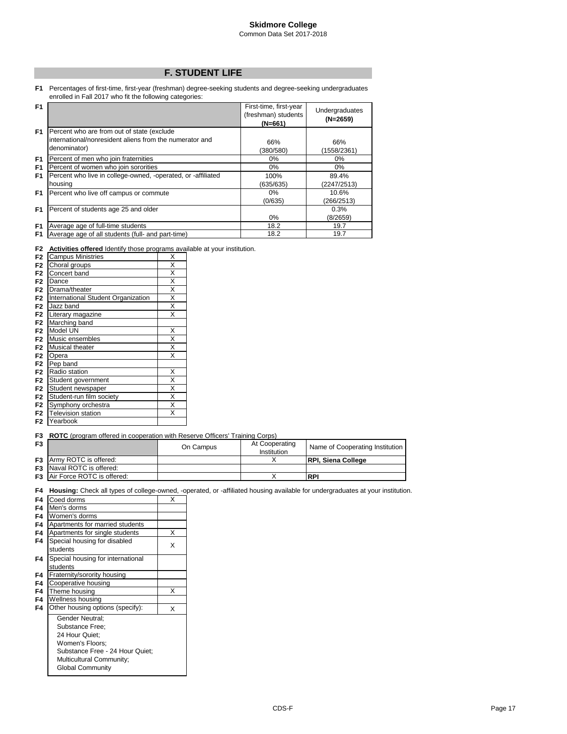### **F. STUDENT LIFE**

**F1** Percentages of first-time, first-year (freshman) degree-seeking students and degree-seeking undergraduates enrolled in Fall 2017 who fit the following categories:

| F <sub>1</sub> |                                                              | First-time, first-year<br>(freshman) students<br>$(N=661)$ | Undergraduates<br>$(N=2659)$ |
|----------------|--------------------------------------------------------------|------------------------------------------------------------|------------------------------|
| F <sub>1</sub> | Percent who are from out of state (exclude                   |                                                            |                              |
|                | international/nonresident aliens from the numerator and      | 66%                                                        | 66%                          |
|                | denominator)                                                 | (380/580)                                                  | (1558/2361)                  |
| F1             | Percent of men who join fraternities                         | 0%                                                         | $0\%$                        |
| F1             | Percent of women who join sororities                         | 0%                                                         | $0\%$                        |
| F1             | Percent who live in college-owned, -operated, or -affiliated | 100%                                                       | 89.4%                        |
|                | housing                                                      | (635/635)                                                  | (2247/2513)                  |
| F <sub>1</sub> | Percent who live off campus or commute                       | 0%                                                         | 10.6%                        |
|                |                                                              | (0/635)                                                    | (266/2513)                   |
| F <sub>1</sub> | Percent of students age 25 and older                         |                                                            | 0.3%                         |
|                |                                                              | 0%                                                         | (8/2659)                     |
| F <sub>1</sub> | Average age of full-time students                            | 18.2                                                       | 19.7                         |
| F1             | Average age of all students (full- and part-time)            | 18.2                                                       | 19.7                         |
|                |                                                              |                                                            |                              |

**F2 Activities offered** Identify those programs available at your institution.

| F <sub>2</sub> | <b>Campus Ministries</b>           | X |
|----------------|------------------------------------|---|
| F <sub>2</sub> | Choral groups                      | X |
| F <sub>2</sub> | Concert band                       | X |
| F <sub>2</sub> | Dance                              | X |
| F <sub>2</sub> | Drama/theater                      | X |
| F <sub>2</sub> | International Student Organization | X |
| F <sub>2</sub> | Jazz band                          | X |
| F <sub>2</sub> | Literary magazine                  | X |
| F <sub>2</sub> | Marching band                      |   |
| F <sub>2</sub> | Model UN                           | X |
| F <sub>2</sub> | Music ensembles                    | X |
| F <sub>2</sub> | Musical theater                    | X |
| F <sub>2</sub> | Opera                              | X |
| F <sub>2</sub> | Pep band                           |   |
| F <sub>2</sub> | Radio station                      | X |
| F <sub>2</sub> | Student government                 | X |
| F <sub>2</sub> | Student newspaper                  | X |
| F <sub>2</sub> | Student-run film society           | X |
| F <sub>2</sub> | Symphony orchestra                 | X |
| F <sub>2</sub> | <b>Television station</b>          | X |
| F <sub>2</sub> | Yearbook                           |   |

#### **F3 ROTC** (program offered in cooperation with Reserve Officers' Training Corps)

| F <sub>3</sub> |                                      | On Campus | At Cooperating<br>Institution | Name of Cooperating Institution |
|----------------|--------------------------------------|-----------|-------------------------------|---------------------------------|
|                | <b>F3</b> Army ROTC is offered:      |           |                               | <b>IRPI. Siena College</b>      |
|                | <b>F3</b> Naval ROTC is offered:     |           |                               |                                 |
|                | <b>F3</b> Air Force ROTC is offered: |           |                               | <b>RPI</b>                      |

**F4 Housing:** Check all types of college-owned, -operated, or -affiliated housing available for undergraduates at your institution.

| rа | <b>Housing:</b> Check all types of college-owned, - |   |
|----|-----------------------------------------------------|---|
| F4 | Coed dorms                                          | х |
| F4 | Men's dorms                                         |   |
| F4 | Women's dorms                                       |   |
| F4 | Apartments for married students                     |   |
| F4 | Apartments for single students                      | x |
| F4 | Special housing for disabled                        |   |
|    | students                                            | X |
| F4 | Special housing for international                   |   |
|    | students                                            |   |
| F4 | Fraternity/sorority housing                         |   |
| F4 | Cooperative housing                                 |   |
| F4 | Theme housing                                       | x |
| F4 | Wellness housing                                    |   |
| F4 | Other housing options (specify):                    | X |
|    | Gender Neutral:                                     |   |
|    | Substance Free:                                     |   |
|    | 24 Hour Quiet;                                      |   |
|    | Women's Floors;                                     |   |
|    | Substance Free - 24 Hour Quiet;                     |   |
|    | Multicultural Community;                            |   |
|    | <b>Global Community</b>                             |   |
|    |                                                     |   |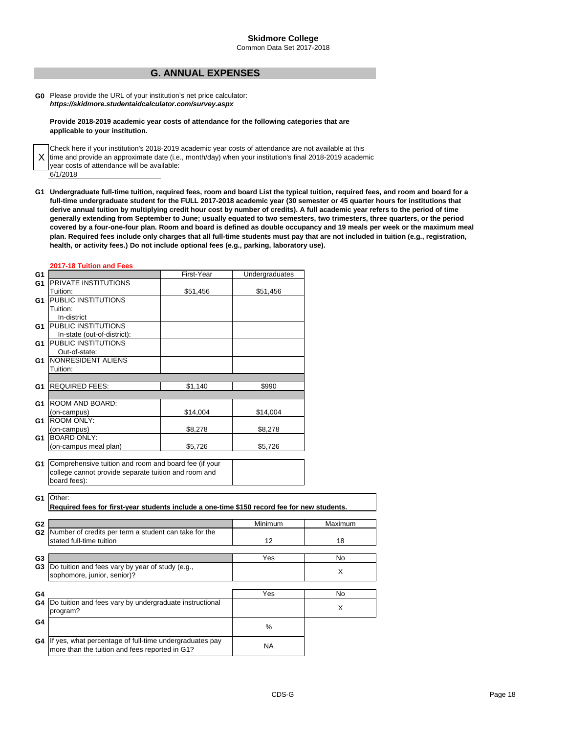Common Data Set 2017-2018

# **G. ANNUAL EXPENSES**

**G0** Please provide the URL of your institution's net price calculator: *https://skidmore.studentaidcalculator.com/survey.aspx*

#### **Provide 2018-2019 academic year costs of attendance for the following categories that are applicable to your institution.**

X 6/1/2018 Check here if your institution's 2018-2019 academic year costs of attendance are not available at this time and provide an approximate date (i.e., month/day) when your institution's final 2018-2019 academic year costs of attendance will be available:

**G1 Undergraduate full-time tuition, required fees, room and board List the typical tuition, required fees, and room and board for a full-time undergraduate student for the FULL 2017-2018 academic year (30 semester or 45 quarter hours for institutions that derive annual tuition by multiplying credit hour cost by number of credits). A full academic year refers to the period of time generally extending from September to June; usually equated to two semesters, two trimesters, three quarters, or the period covered by a four-one-four plan. Room and board is defined as double occupancy and 19 meals per week or the maximum meal plan. Required fees include only charges that all full-time students must pay that are not included in tuition (e.g., registration, health, or activity fees.) Do not include optional fees (e.g., parking, laboratory use).**

#### **2017-18 Tuition and Fees**

| G1             |                                                                                                                               | First-Year | Undergraduates |         |
|----------------|-------------------------------------------------------------------------------------------------------------------------------|------------|----------------|---------|
| G1             | PRIVATE INSTITUTIONS                                                                                                          |            |                |         |
|                | Tuition:                                                                                                                      | \$51,456   | \$51,456       |         |
| G1             | <b>PUBLIC INSTITUTIONS</b>                                                                                                    |            |                |         |
|                | Tuition:                                                                                                                      |            |                |         |
|                | In-district                                                                                                                   |            |                |         |
| G1             | PUBLIC INSTITUTIONS                                                                                                           |            |                |         |
|                | In-state (out-of-district):                                                                                                   |            |                |         |
| G1             | <b>PUBLIC INSTITUTIONS</b>                                                                                                    |            |                |         |
|                | Out-of-state:                                                                                                                 |            |                |         |
| G1             | NONRESIDENT ALIENS                                                                                                            |            |                |         |
|                | Tuition:                                                                                                                      |            |                |         |
|                |                                                                                                                               |            |                |         |
| G1             | <b>REQUIRED FEES:</b>                                                                                                         | \$1,140    | \$990          |         |
|                |                                                                                                                               |            |                |         |
| G1             | ROOM AND BOARD:                                                                                                               |            |                |         |
|                | (on-campus)                                                                                                                   | \$14,004   | \$14,004       |         |
| G1             | <b>ROOM ONLY:</b>                                                                                                             |            |                |         |
|                | (on-campus)<br><b>BOARD ONLY:</b>                                                                                             | \$8,278    | \$8,278        |         |
| G1             |                                                                                                                               |            |                |         |
|                | (on-campus meal plan)                                                                                                         | \$5,726    | \$5,726        |         |
| G1             | Comprehensive tuition and room and board fee (if your<br>college cannot provide separate tuition and room and<br>board fees): |            |                |         |
| G1             | Other:<br>Required fees for first-year students include a one-time \$150 record fee for new students.                         |            |                |         |
| G <sub>2</sub> |                                                                                                                               |            | Minimum        | Maximum |
| G2             | Number of credits per term a student can take for the<br>stated full-time tuition                                             |            | 12             | 18      |
| G3             |                                                                                                                               |            | Yes            | No      |
| G3             | Do tuition and fees vary by year of study (e.g.,                                                                              |            |                |         |
|                | sophomore, junior, senior)?                                                                                                   |            |                | X       |
|                |                                                                                                                               |            |                |         |
| G4             |                                                                                                                               |            | Yes            | No      |
| G4             | Do tuition and fees vary by undergraduate instructional                                                                       |            |                |         |
|                | program?                                                                                                                      |            |                | X       |
|                |                                                                                                                               |            |                |         |
| G4             |                                                                                                                               |            | %              |         |
|                |                                                                                                                               |            |                |         |
| G4             | If yes, what percentage of full-time undergraduates pay                                                                       |            | <b>NA</b>      |         |
|                | more than the tuition and fees reported in G1?                                                                                |            |                |         |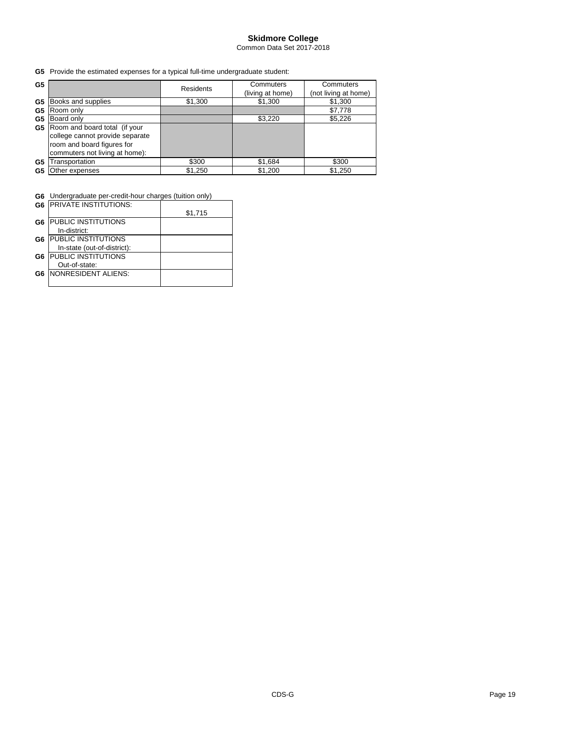Common Data Set 2017-2018

**G5** Provide the estimated expenses for a typical full-time undergraduate student:

| G <sub>5</sub> |                                                                                                                                  | <b>Residents</b> | Commuters<br>(living at home) | Commuters<br>(not living at home) |
|----------------|----------------------------------------------------------------------------------------------------------------------------------|------------------|-------------------------------|-----------------------------------|
| G5             | Books and supplies                                                                                                               | \$1,300          | \$1,300                       | \$1,300                           |
| G5             | Room only                                                                                                                        |                  |                               | \$7,778                           |
| G5             | Board only                                                                                                                       |                  | \$3,220                       | \$5,226                           |
| G5             | Room and board total (if your<br>college cannot provide separate<br>room and board figures for<br>commuters not living at home): |                  |                               |                                   |
| G5             | Transportation                                                                                                                   | \$300            | \$1,684                       | \$300                             |
| G5             | Other expenses                                                                                                                   | \$1,250          | \$1,200                       | \$1,250                           |

**G6** Undergraduate per-credit-hour charges (tuition only)

|    | <b>G6 PRIVATE INSTITUTIONS:</b> |         |
|----|---------------------------------|---------|
|    |                                 | \$1,715 |
| G6 | PUBLIC INSTITUTIONS             |         |
|    | In-district:                    |         |
| G6 | <b>PUBLIC INSTITUTIONS</b>      |         |
|    | In-state (out-of-district):     |         |
| G6 | <b>PUBLIC INSTITUTIONS</b>      |         |
|    | Out-of-state:                   |         |
| G6 | <b>NONRESIDENT ALIENS:</b>      |         |
|    |                                 |         |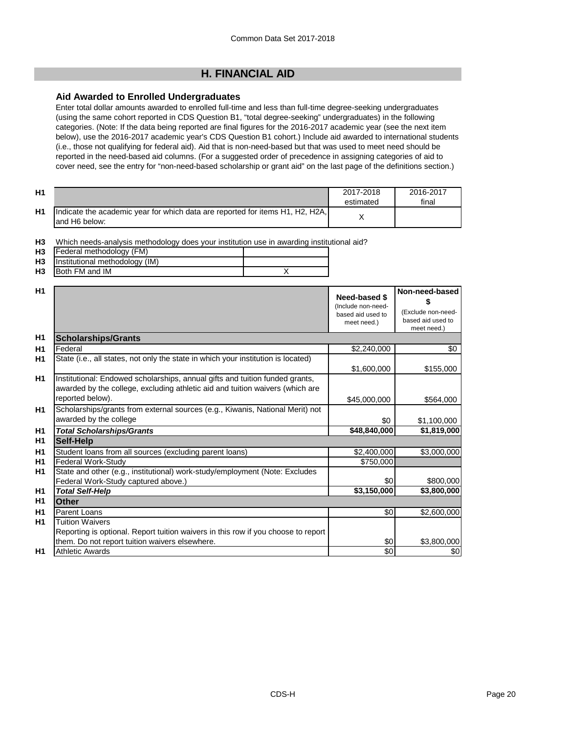# **H. FINANCIAL AID**

### **Aid Awarded to Enrolled Undergraduates**

Enter total dollar amounts awarded to enrolled full-time and less than full-time degree-seeking undergraduates (using the same cohort reported in CDS Question B1, "total degree-seeking" undergraduates) in the following categories. (Note: If the data being reported are final figures for the 2016-2017 academic year (see the next item below), use the 2016-2017 academic year's CDS Question B1 cohort.) Include aid awarded to international students (i.e., those not qualifying for federal aid). Aid that is non-need-based but that was used to meet need should be reported in the need-based aid columns. (For a suggested order of precedence in assigning categories of aid to cover need, see the entry for "non-need-based scholarship or grant aid" on the last page of the definitions section.)

| H1 |                                                                                                 | 2017-2018<br>estimated | 2016-2017<br>final |
|----|-------------------------------------------------------------------------------------------------|------------------------|--------------------|
| H1 | Indicate the academic year for which data are reported for items H1, H2, H2A,<br>land H6 below: |                        |                    |

**H3** Which needs-analysis methodology does your institution use in awarding institutional aid?

| H <sub>3</sub> | Federal methodology (FM)       |  |
|----------------|--------------------------------|--|
| H <sub>3</sub> | Institutional methodology (IM) |  |

**H3** Both FM and IM X

| H1             |                                                                                                                                                                                   | Need-based \$<br>(Include non-need-<br>based aid used to<br>meet need.) | Non-need-based<br>(Exclude non-need-<br>based aid used to<br>meet need.) |
|----------------|-----------------------------------------------------------------------------------------------------------------------------------------------------------------------------------|-------------------------------------------------------------------------|--------------------------------------------------------------------------|
| H1             | <b>Scholarships/Grants</b>                                                                                                                                                        |                                                                         |                                                                          |
| H <sub>1</sub> | Federal                                                                                                                                                                           | \$2,240,000                                                             | \$0                                                                      |
| H1             | State (i.e., all states, not only the state in which your institution is located)                                                                                                 | \$1,600,000                                                             | \$155,000                                                                |
| H1             | Institutional: Endowed scholarships, annual gifts and tuition funded grants,<br>awarded by the college, excluding athletic aid and tuition waivers (which are<br>reported below). | \$45,000,000                                                            | \$564,000                                                                |
| <b>H1</b>      | Scholarships/grants from external sources (e.g., Kiwanis, National Merit) not<br>awarded by the college                                                                           | \$0                                                                     | \$1,100,000                                                              |
| H <sub>1</sub> | <b>Total Scholarships/Grants</b>                                                                                                                                                  | \$48,840,000                                                            | \$1,819,000                                                              |
| H <sub>1</sub> | Self-Help                                                                                                                                                                         |                                                                         |                                                                          |
| H1             | Student loans from all sources (excluding parent loans)                                                                                                                           | \$2,400,000                                                             | \$3,000,000                                                              |
| H <sub>1</sub> | <b>Federal Work-Study</b>                                                                                                                                                         | \$750,000                                                               |                                                                          |
| H1             | State and other (e.g., institutional) work-study/employment (Note: Excludes<br>Federal Work-Study captured above.)                                                                | \$0                                                                     | \$800,000                                                                |
| H <sub>1</sub> | <b>Total Self-Help</b>                                                                                                                                                            | \$3,150,000                                                             | \$3,800,000                                                              |
| H1             | <b>Other</b>                                                                                                                                                                      |                                                                         |                                                                          |
| H1             | <b>Parent Loans</b>                                                                                                                                                               | \$0                                                                     | \$2,600,000                                                              |
| <b>H1</b>      | Tuition Waivers                                                                                                                                                                   |                                                                         |                                                                          |
|                | Reporting is optional. Report tuition waivers in this row if you choose to report                                                                                                 |                                                                         |                                                                          |
|                | them. Do not report tuition waivers elsewhere.                                                                                                                                    | \$0                                                                     | \$3,800,000                                                              |
| H1             | <b>Athletic Awards</b>                                                                                                                                                            | \$0                                                                     | \$0                                                                      |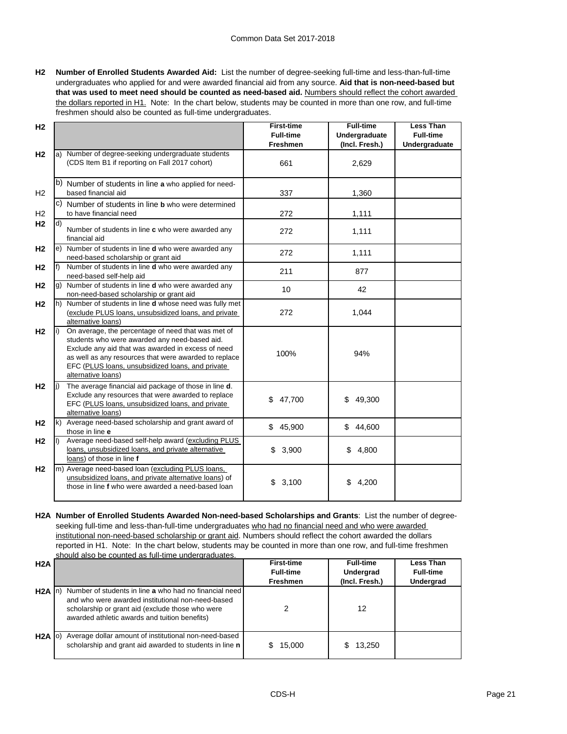**H2 Number of Enrolled Students Awarded Aid:** List the number of degree-seeking full-time and less-than-full-time undergraduates who applied for and were awarded financial aid from any source. **Aid that is non-need-based but that was used to meet need should be counted as need-based aid.** Numbers should reflect the cohort awarded the dollars reported in H1. Note: In the chart below, students may be counted in more than one row, and full-time freshmen should also be counted as full-time undergraduates.

| H <sub>2</sub> |                                                                | <b>First-time</b> | <b>Full-time</b>     | <b>Less Than</b> |
|----------------|----------------------------------------------------------------|-------------------|----------------------|------------------|
|                |                                                                | <b>Full-time</b>  | <b>Undergraduate</b> | <b>Full-time</b> |
|                |                                                                | <b>Freshmen</b>   |                      | Undergraduate    |
|                |                                                                |                   | (Incl. Fresh.)       |                  |
| H <sub>2</sub> | a) Number of degree-seeking undergraduate students             |                   |                      |                  |
|                | (CDS Item B1 if reporting on Fall 2017 cohort)                 | 661               | 2,629                |                  |
|                |                                                                |                   |                      |                  |
|                | b) Number of students in line a who applied for need-          |                   |                      |                  |
| H2             | based financial aid                                            | 337               | 1,360                |                  |
|                | c) Number of students in line <b>b</b> who were determined     |                   |                      |                  |
| H2             | to have financial need                                         | 272               | 1,111                |                  |
|                |                                                                |                   |                      |                  |
| H <sub>2</sub> | d)<br>Number of students in line c who were awarded any        | 272               |                      |                  |
|                | financial aid                                                  |                   | 1,111                |                  |
| H <sub>2</sub> | e) Number of students in line d who were awarded any           |                   |                      |                  |
|                |                                                                | 272               | 1,111                |                  |
|                | need-based scholarship or grant aid                            |                   |                      |                  |
| H <sub>2</sub> | f)<br>Number of students in line <b>d</b> who were awarded any | 211               | 877                  |                  |
|                | need-based self-help aid                                       |                   |                      |                  |
| H <sub>2</sub> | Number of students in line <b>d</b> who were awarded any<br>g) | 10                | 42                   |                  |
|                | non-need-based scholarship or grant aid                        |                   |                      |                  |
| H <sub>2</sub> | h) Number of students in line d whose need was fully met       |                   |                      |                  |
|                | (exclude PLUS loans, unsubsidized loans, and private           | 272               | 1,044                |                  |
|                | alternative loans)                                             |                   |                      |                  |
| H <sub>2</sub> | On average, the percentage of need that was met of<br>li)      |                   |                      |                  |
|                | students who were awarded any need-based aid.                  |                   |                      |                  |
|                | Exclude any aid that was awarded in excess of need             |                   |                      |                  |
|                | as well as any resources that were awarded to replace          | 100%              | 94%                  |                  |
|                | EFC (PLUS loans, unsubsidized loans, and private               |                   |                      |                  |
|                | alternative loans)                                             |                   |                      |                  |
| H <sub>2</sub> | The average financial aid package of those in line d.<br>lj)   |                   |                      |                  |
|                | Exclude any resources that were awarded to replace             |                   |                      |                  |
|                | EFC (PLUS loans, unsubsidized loans, and private               | \$<br>47,700      | \$<br>49,300         |                  |
|                | alternative loans)                                             |                   |                      |                  |
| H <sub>2</sub> | k) Average need-based scholarship and grant award of           |                   |                      |                  |
|                | those in line e                                                | \$45,900          | \$<br>44,600         |                  |
| H <sub>2</sub> | Average need-based self-help award (excluding PLUS<br>II)      |                   |                      |                  |
|                | loans, unsubsidized loans, and private alternative             | \$3,900           | \$4,800              |                  |
|                | loans) of those in line f                                      |                   |                      |                  |
|                |                                                                |                   |                      |                  |
| H <sub>2</sub> | m) Average need-based loan (excluding PLUS loans,              |                   |                      |                  |
|                | unsubsidized loans, and private alternative loans) of          | 3,100<br>\$       | 4,200<br>\$          |                  |
|                | those in line f who were awarded a need-based loan             |                   |                      |                  |
|                |                                                                |                   |                      |                  |

**H2A Number of Enrolled Students Awarded Non-need-based Scholarships and Grants**: List the number of degreeseeking full-time and less-than-full-time undergraduates who had no financial need and who were awarded institutional non-need-based scholarship or grant aid. Numbers should reflect the cohort awarded the dollars reported in H1. Note: In the chart below, students may be counted in more than one row, and full-time freshmen should also be counted as full-time undergraduates.

| H2A       |                                                                                                                                                                                                                  | <b>First-time</b><br><b>Full-time</b><br><b>Freshmen</b> | <b>Full-time</b><br>Undergrad<br>(Incl. Fresh.) | Less Than<br><b>Full-time</b><br><b>Undergrad</b> |
|-----------|------------------------------------------------------------------------------------------------------------------------------------------------------------------------------------------------------------------|----------------------------------------------------------|-------------------------------------------------|---------------------------------------------------|
| $H2A$ In  | Number of students in line a who had no financial need<br>and who were awarded institutional non-need-based<br>scholarship or grant aid (exclude those who were<br>awarded athletic awards and tuition benefits) |                                                          | 12                                              |                                                   |
| $H2A$ (o) | Average dollar amount of institutional non-need-based<br>scholarship and grant aid awarded to students in line n                                                                                                 | 15,000                                                   | 13.250                                          |                                                   |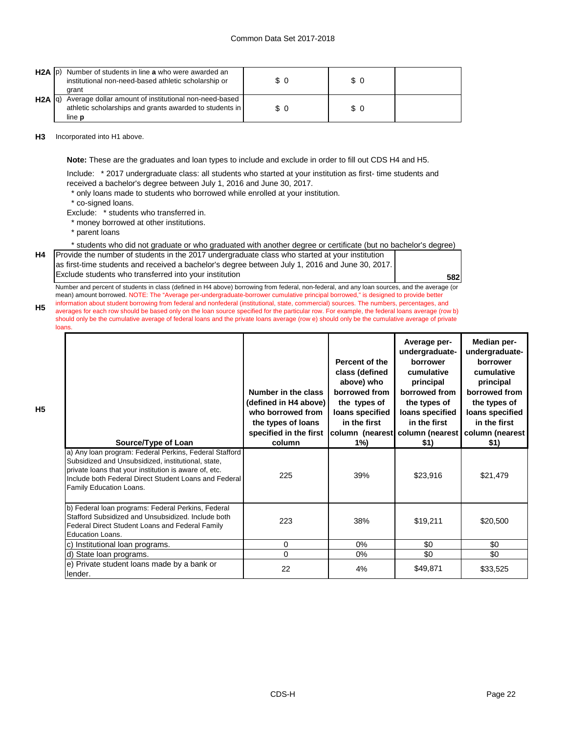### Common Data Set 2017-2018

| $H2A$ $ p\rangle$ | Number of students in line a who were awarded an<br>institutional non-need-based athletic scholarship or<br>arant                 | \$0 | $\frac{1}{2}$ |  |
|-------------------|-----------------------------------------------------------------------------------------------------------------------------------|-----|---------------|--|
| $H2A$ $ q\rangle$ | Average dollar amount of institutional non-need-based<br>athletic scholarships and grants awarded to students in<br>line <b>p</b> | \$O | \$ 0          |  |

**H3** Incorporated into H1 above.

**Note:** These are the graduates and loan types to include and exclude in order to fill out CDS H4 and H5.

Include: \* 2017 undergraduate class: all students who started at your institution as first- time students and received a bachelor's degree between July 1, 2016 and June 30, 2017.

\* only loans made to students who borrowed while enrolled at your institution.

\* co-signed loans.

Exclude: \* students who transferred in.

\* money borrowed at other institutions.

\* parent loans

**H4**

**H5**

\* students who did not graduate or who graduated with another degree or certificate (but no bachelor's degree)

Provide the number of students in the 2017 undergraduate class who started at your institution as first-time students and received a bachelor's degree between July 1, 2016 and June 30, 2017. Exclude students who transferred into your institution

**582**

**H5** Number and percent of students in class (defined in H4 above) borrowing from federal, non-federal, and any loan sources, and the average (or mean) amount borrowed. NOTE: The "Average per-undergraduate-borrower cumulative principal borrowed," is designed to provide better information about student borrowing from federal and nonfederal (institutional, state, commercial) sources. The numbers, percentages, and averages for each row should be based only on the loan source specified for the particular row. For example, the federal loans average (row b) should only be the cumulative average of federal loans and the private loans average (row e) should only be the cumulative average of private loans.

| Source/Type of Loan                                                                                                                                                                                                                                       | Number in the class<br>(defined in H4 above)<br>who borrowed from<br>the types of loans<br>specified in the first<br>column | Percent of the<br>class (defined<br>above) who<br>borrowed from<br>the types of<br>loans specified<br>in the first<br>$1\%$ | Average per-<br>undergraduate-<br>borrower<br>cumulative<br>principal<br>borrowed from<br>the types of<br>loans specified<br>in the first<br>column (nearest column (nearest column (nearest<br>\$1) | Median per-<br>undergraduate-<br>borrower<br>cumulative<br>principal<br>borrowed from<br>the types of<br>loans specified<br>in the first<br>\$1) |
|-----------------------------------------------------------------------------------------------------------------------------------------------------------------------------------------------------------------------------------------------------------|-----------------------------------------------------------------------------------------------------------------------------|-----------------------------------------------------------------------------------------------------------------------------|------------------------------------------------------------------------------------------------------------------------------------------------------------------------------------------------------|--------------------------------------------------------------------------------------------------------------------------------------------------|
| a) Any loan program: Federal Perkins, Federal Stafford<br>Subsidized and Unsubsidized, institutional, state,<br>private loans that your institution is aware of, etc.<br>Include both Federal Direct Student Loans and Federal<br>Family Education Loans. | 225                                                                                                                         | 39%                                                                                                                         | \$23,916                                                                                                                                                                                             | \$21,479                                                                                                                                         |
| b) Federal loan programs: Federal Perkins, Federal<br>Stafford Subsidized and Unsubsidized. Include both<br>Federal Direct Student Loans and Federal Family<br>Education Loans.                                                                           | 223                                                                                                                         | 38%                                                                                                                         | \$19,211                                                                                                                                                                                             | \$20,500                                                                                                                                         |
| c) Institutional loan programs.                                                                                                                                                                                                                           | $\Omega$                                                                                                                    | $0\%$                                                                                                                       | \$0                                                                                                                                                                                                  | \$0                                                                                                                                              |
| d) State loan programs.                                                                                                                                                                                                                                   | $\Omega$                                                                                                                    | $0\%$                                                                                                                       | \$0                                                                                                                                                                                                  | \$0                                                                                                                                              |
| e) Private student loans made by a bank or<br>lender.                                                                                                                                                                                                     | 22                                                                                                                          | 4%                                                                                                                          | \$49,871                                                                                                                                                                                             | \$33,525                                                                                                                                         |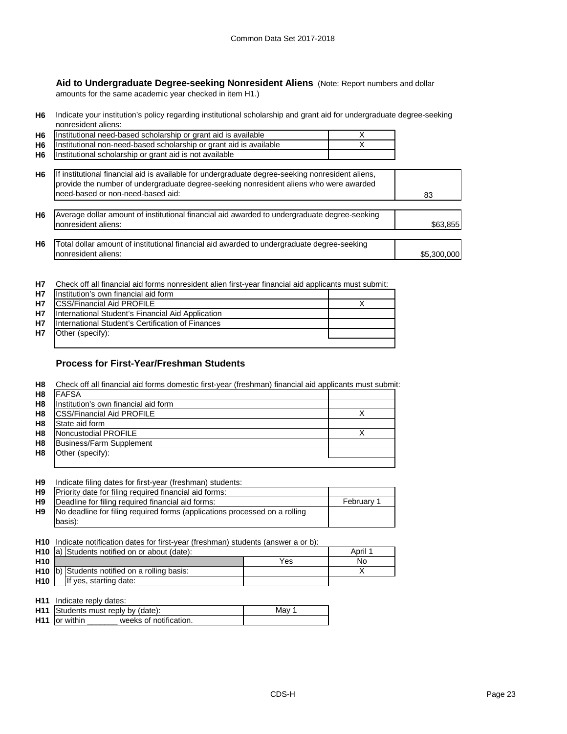**Aid to Undergraduate Degree-seeking Nonresident Aliens** (Note: Report numbers and dollar amounts for the same academic year checked in item H1.)

**H6** Indicate your institution's policy regarding institutional scholarship and grant aid for undergraduate degree-seeking nonresident aliens:

| H6             | Institutional need-based scholarship or grant aid is available                                                                                                                                                                  |             |
|----------------|---------------------------------------------------------------------------------------------------------------------------------------------------------------------------------------------------------------------------------|-------------|
| H <sub>6</sub> | Institutional non-need-based scholarship or grant aid is available                                                                                                                                                              |             |
| H <sub>6</sub> | Institutional scholarship or grant aid is not available                                                                                                                                                                         |             |
| H6             | If institutional financial aid is available for undergraduate degree-seeking nonresident aliens,<br>provide the number of undergraduate degree-seeking nonresident aliens who were awarded<br>need-based or non-need-based aid: | 83          |
| H6             | Average dollar amount of institutional financial aid awarded to undergraduate degree-seeking<br>nonresident aliens:                                                                                                             | \$63,855    |
| H6             | Total dollar amount of institutional financial aid awarded to undergraduate degree-seeking<br>nonresident aliens:                                                                                                               | \$5,300,000 |

**H7** Check off all financial aid forms nonresident alien first-year financial aid applicants must submit:

|           | H7 Institution's own financial aid form           |  |
|-----------|---------------------------------------------------|--|
| <b>H7</b> | <b>CSS/Financial Aid PROFILE</b>                  |  |
| <b>H7</b> | International Student's Financial Aid Application |  |
| H7        | International Student's Certification of Finances |  |
| <b>H7</b> | Other (specify):                                  |  |
|           |                                                   |  |

### **Process for First-Year/Freshman Students**

| H8             | Check off all financial aid forms domestic first-year (freshman) financial aid applicants must submit: |  |
|----------------|--------------------------------------------------------------------------------------------------------|--|
| H <sub>8</sub> | <b>FAFSA</b>                                                                                           |  |
| H8             | Institution's own financial aid form                                                                   |  |
| H8             | <b>CSS/Financial Aid PROFILE</b>                                                                       |  |
| H8             | State aid form                                                                                         |  |
| H <sub>8</sub> | Noncustodial PROFILE                                                                                   |  |
| H <sub>8</sub> | Business/Farm Supplement                                                                               |  |
| H <sub>8</sub> | Other (specify):                                                                                       |  |
|                |                                                                                                        |  |

**H9** Indicate filing dates for first-year (freshman) students:

| <b>H9</b> Priority date for filing required financial aid forms:                     |            |
|--------------------------------------------------------------------------------------|------------|
| <b>H9 Deadline for filing required financial aid forms:</b>                          | February 1 |
| <b>H9</b> No deadline for filing required forms (applications processed on a rolling |            |
| basis):                                                                              |            |

**H10** Indicate notification dates for first-year (freshman) students (answer a or b):

|                 | H <sub>10</sub> a) Students notified on or about (date): |                                                           |    | April 1 |
|-----------------|----------------------------------------------------------|-----------------------------------------------------------|----|---------|
| H <sub>10</sub> | Yes                                                      |                                                           | No |         |
|                 |                                                          | H <sub>10</sub> (b) Students notified on a rolling basis: |    |         |
| H <sub>10</sub> |                                                          | If yes, starting date:                                    |    |         |

**H11** Indicate reply dates:

|                      | <b>H11</b> Students must reply by (date): | Mav |
|----------------------|-------------------------------------------|-----|
| <b>H11</b> or within | weeks of notification.                    |     |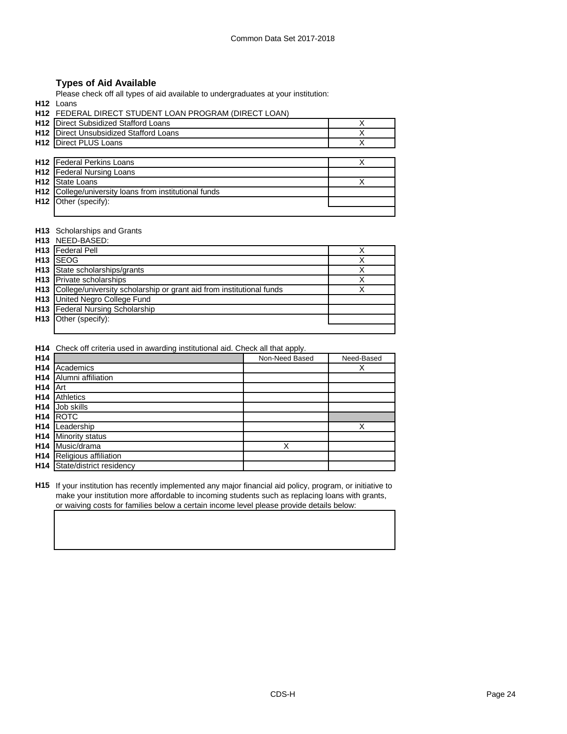# **Types of Aid Available**

Please check off all types of aid available to undergraduates at your institution:

**H12** Loans

**H12** FEDERAL DIRECT STUDENT LOAN PROGRAM (DIRECT LOAN)

| H12 Direct Subsidized Stafford Loans                  |  |
|-------------------------------------------------------|--|
| <b>H12</b> Direct Unsubsidized Stafford Loans         |  |
| H12 Direct PLUS Loans                                 |  |
|                                                       |  |
| <b>H12</b> Federal Perkins Loans                      |  |
| <b>H12</b> Federal Nursing Loans                      |  |
| <b>H12</b> State Loans                                |  |
| H12 College/university loans from institutional funds |  |
| H <sub>12</sub> Other (specify):                      |  |
|                                                       |  |

### **H13** Scholarships and Grants

|                 | H13 NEED-BASED:                                                                 |   |
|-----------------|---------------------------------------------------------------------------------|---|
|                 | H13   Federal Pell                                                              |   |
| H <sub>13</sub> | <b>ISEOG</b>                                                                    |   |
| H <sub>13</sub> | State scholarships/grants                                                       |   |
|                 | <b>H13</b> Private scholarships                                                 |   |
|                 | <b>H13</b> College/university scholarship or grant aid from institutional funds | x |
|                 | H13 United Negro College Fund                                                   |   |
|                 | H13 Federal Nursing Scholarship                                                 |   |
|                 | <b>H13</b> Other (specify):                                                     |   |
|                 |                                                                                 |   |

**H14** Check off criteria used in awarding institutional aid. Check all that apply.

| H <sub>14</sub> |                          | Non-Need Based | Need-Based |
|-----------------|--------------------------|----------------|------------|
| H <sub>14</sub> | Academics                |                | х          |
| H <sub>14</sub> | Alumni affiliation       |                |            |
| H <sub>14</sub> | Art                      |                |            |
| H <sub>14</sub> | Athletics                |                |            |
| H <sub>14</sub> | Job skills               |                |            |
| H <sub>14</sub> | <b>ROTC</b>              |                |            |
| H <sub>14</sub> | Leadership               |                | Χ          |
| H <sub>14</sub> | <b>Minority status</b>   |                |            |
| H <sub>14</sub> | Music/drama              | Х              |            |
| H <sub>14</sub> | Religious affiliation    |                |            |
| H <sub>14</sub> | State/district residency |                |            |

**H15** If your institution has recently implemented any major financial aid policy, program, or initiative to make your institution more affordable to incoming students such as replacing loans with grants, or waiving costs for families below a certain income level please provide details below: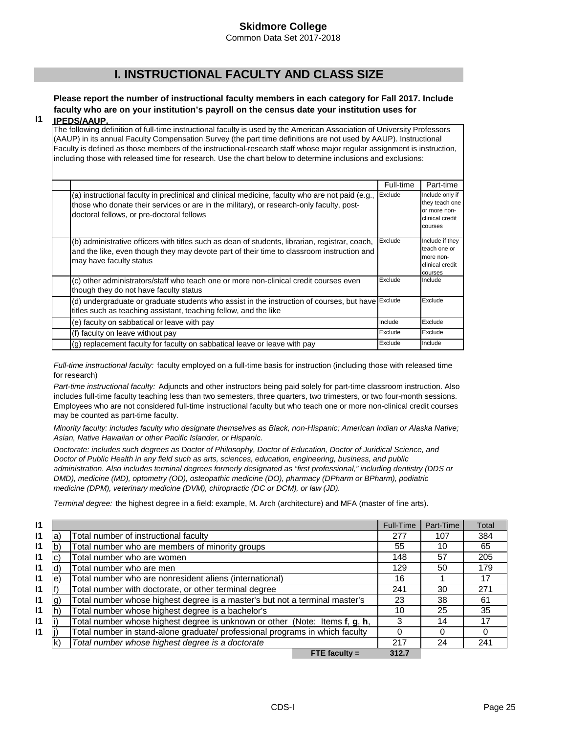Common Data Set 2017-2018

# **I. INSTRUCTIONAL FACULTY AND CLASS SIZE**

### **Please report the number of instructional faculty members in each category for Fall 2017. Include faculty who are on your institution's payroll on the census date your institution uses for IPEDS/AAUP.**

**I1**

The following definition of full-time instructional faculty is used by the American Association of University Professors (AAUP) in its annual Faculty Compensation Survey (the part time definitions are not used by AAUP). Instructional Faculty is defined as those members of the instructional-research staff whose major regular assignment is instruction, including those with released time for research. Use the chart below to determine inclusions and exclusions:

|                                                                                                                                                                                                                                          | Full-time | Part-time                                                                       |
|------------------------------------------------------------------------------------------------------------------------------------------------------------------------------------------------------------------------------------------|-----------|---------------------------------------------------------------------------------|
| (a) instructional faculty in preclinical and clinical medicine, faculty who are not paid (e.g.,<br>those who donate their services or are in the military), or research-only faculty, post-<br>doctoral fellows, or pre-doctoral fellows | Exclude   | Include only if<br>they teach one<br>or more non-<br>clinical credit<br>courses |
| (b) administrative officers with titles such as dean of students, librarian, registrar, coach,<br>and the like, even though they may devote part of their time to classroom instruction and<br>may have faculty status                   | Exclude   | Include if they<br>teach one or<br>more non-<br>clinical credit<br>courses      |
| (c) other administrators/staff who teach one or more non-clinical credit courses even<br>though they do not have faculty status                                                                                                          | Exclude   | Include                                                                         |
| (d) undergraduate or graduate students who assist in the instruction of courses, but have Exclude<br>titles such as teaching assistant, teaching fellow, and the like                                                                    |           | Exclude                                                                         |
| (e) faculty on sabbatical or leave with pay                                                                                                                                                                                              | Include   | Exclude                                                                         |
| (f) faculty on leave without pay                                                                                                                                                                                                         | Exclude   | Exclude                                                                         |
| (g) replacement faculty for faculty on sabbatical leave or leave with pay                                                                                                                                                                | Exclude   | Include                                                                         |

*Full-time instructional faculty:* faculty employed on a full-time basis for instruction (including those with released time for research)

*Part-time instructional faculty:* Adjuncts and other instructors being paid solely for part-time classroom instruction. Also includes full-time faculty teaching less than two semesters, three quarters, two trimesters, or two four-month sessions. Employees who are not considered full-time instructional faculty but who teach one or more non-clinical credit courses may be counted as part-time faculty.

*Minority faculty: includes faculty who designate themselves as Black, non-Hispanic; American Indian or Alaska Native; Asian, Native Hawaiian or other Pacific Islander, or Hispanic.* 

*Doctorate: includes such degrees as Doctor of Philosophy, Doctor of Education, Doctor of Juridical Science, and Doctor of Public Health in any field such as arts, sciences, education, engineering, business, and public administration. Also includes terminal degrees formerly designated as "first professional," including dentistry (DDS or DMD), medicine (MD), optometry (OD), osteopathic medicine (DO), pharmacy (DPharm or BPharm), podiatric medicine (DPM), veterinary medicine (DVM), chiropractic (DC or DCM), or law (JD).*

*Terminal degree:* the highest degree in a field: example, M. Arch (architecture) and MFA (master of fine arts).

| 11           |     |                                                                              | Full-Time | Part-Time | Total |
|--------------|-----|------------------------------------------------------------------------------|-----------|-----------|-------|
| $\mathsf{I}$ | a   | Total number of instructional faculty                                        | 277       | 107       | 384   |
| 11           | b   | Total number who are members of minority groups                              | 55        | 10        | 65    |
| 11           |     | Total number who are women                                                   | 148       | 57        | 205   |
| $\mathsf{I}$ |     | Total number who are men                                                     | 129       | 50        | 179   |
| $\mathsf{I}$ | le) | Total number who are nonresident aliens (international)                      | 16        |           | 17    |
| 11           |     | Total number with doctorate, or other terminal degree                        | 241       | 30        | 271   |
| $\mathsf{I}$ | g)  | Total number whose highest degree is a master's but not a terminal master's  | 23        | 38        | 61    |
| $\mathsf{I}$ |     | Total number whose highest degree is a bachelor's                            | 10        | 25        | 35    |
| $\mathsf{I}$ |     | Total number whose highest degree is unknown or other (Note: Items f, g, h,  | 3         | 14        | 17    |
| $\mathsf{I}$ |     | Total number in stand-alone graduate/ professional programs in which faculty | 0         |           | Ω     |
|              |     | Total number whose highest degree is a doctorate                             | 217       | 24        | 241   |
|              |     | FTE faculty $=$                                                              | 312.7     |           |       |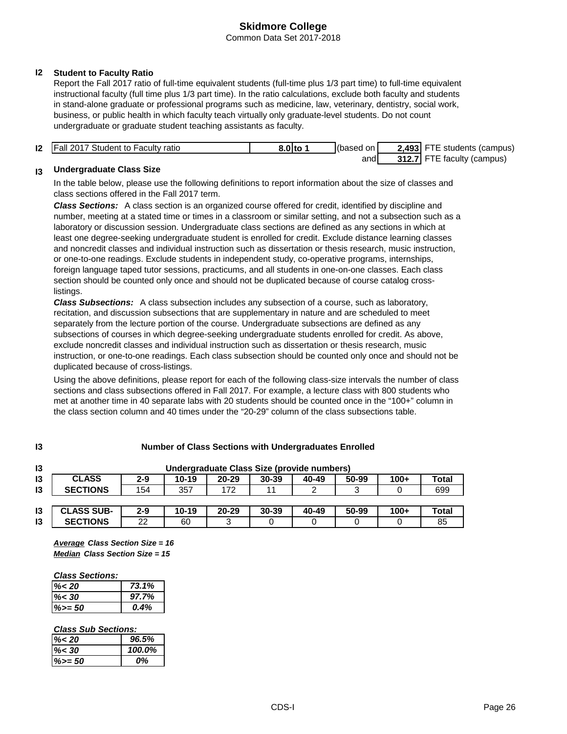Common Data Set 2017-2018

# **I2 Student to Faculty Ratio**

Report the Fall 2017 ratio of full-time equivalent students (full-time plus 1/3 part time) to full-time equivalent instructional faculty (full time plus 1/3 part time). In the ratio calculations, exclude both faculty and students in stand-alone graduate or professional programs such as medicine, law, veterinary, dentistry, social work, business, or public health in which faculty teach virtually only graduate-level students. Do not count undergraduate or graduate student teaching assistants as faculty.

| 12 | <b>Fall 2017 Student to Faculty ratio</b> | 8.0 to 1 | (based on | 2,493 FTE students (campus) |
|----|-------------------------------------------|----------|-----------|-----------------------------|
|    |                                           |          | and       | 312.7 FTE faculty (campus)  |

#### **I3 Undergraduate Class Size**

In the table below, please use the following definitions to report information about the size of classes and class sections offered in the Fall 2017 term.

*Class Sections:* A class section is an organized course offered for credit, identified by discipline and number, meeting at a stated time or times in a classroom or similar setting, and not a subsection such as a laboratory or discussion session. Undergraduate class sections are defined as any sections in which at least one degree-seeking undergraduate student is enrolled for credit. Exclude distance learning classes and noncredit classes and individual instruction such as dissertation or thesis research, music instruction, or one-to-one readings. Exclude students in independent study, co-operative programs, internships, foreign language taped tutor sessions, practicums, and all students in one-on-one classes. Each class section should be counted only once and should not be duplicated because of course catalog crosslistings.

*Class Subsections:* A class subsection includes any subsection of a course, such as laboratory, recitation, and discussion subsections that are supplementary in nature and are scheduled to meet separately from the lecture portion of the course. Undergraduate subsections are defined as any subsections of courses in which degree-seeking undergraduate students enrolled for credit. As above, exclude noncredit classes and individual instruction such as dissertation or thesis research, music instruction, or one-to-one readings. Each class subsection should be counted only once and should not be duplicated because of cross-listings.

Using the above definitions, please report for each of the following class-size intervals the number of class sections and class subsections offered in Fall 2017. For example, a lecture class with 800 students who met at another time in 40 separate labs with 20 students should be counted once in the "100+" column in the class section column and 40 times under the "20-29" column of the class subsections table.

| 13            | Undergraduate Class Size (provide numbers) |         |           |           |       |       |       |        |       |
|---------------|--------------------------------------------|---------|-----------|-----------|-------|-------|-------|--------|-------|
| 13            | <b>CLASS</b>                               | $2 - 9$ | $10 - 19$ | $20 - 29$ | 30-39 | 40-49 | 50-99 | $100+$ | Total |
| 13            | <b>SECTIONS</b>                            | 154     | 357       | 172       | 11    |       |       |        | 699   |
|               |                                            |         |           |           |       |       |       |        |       |
| $\mathsf{I}3$ | <b>CLASS SUB-</b>                          | $2 - 9$ | $10 - 19$ | $20 - 29$ | 30-39 | 40-49 | 50-99 | $100+$ | Total |

# **Number of Class Sections with Undergraduates Enrolled**

**I3** 22 60 3 0 0 0 0 0 85

**I3**

*Median Class Section Size = 15 Average Class Section Size = 16*

### *Class Sections:*

**SECTIONS**

| $\% < 20$ | 73.1% |
|-----------|-------|
| $\% < 30$ | 97.7% |
| $\%>=50$  | 0.4%  |

### *Class Sub Sections:*

| $\% < 20$ | 96.5%  |
|-----------|--------|
| $\% < 30$ | 100.0% |
| $%>=50$   | 0%     |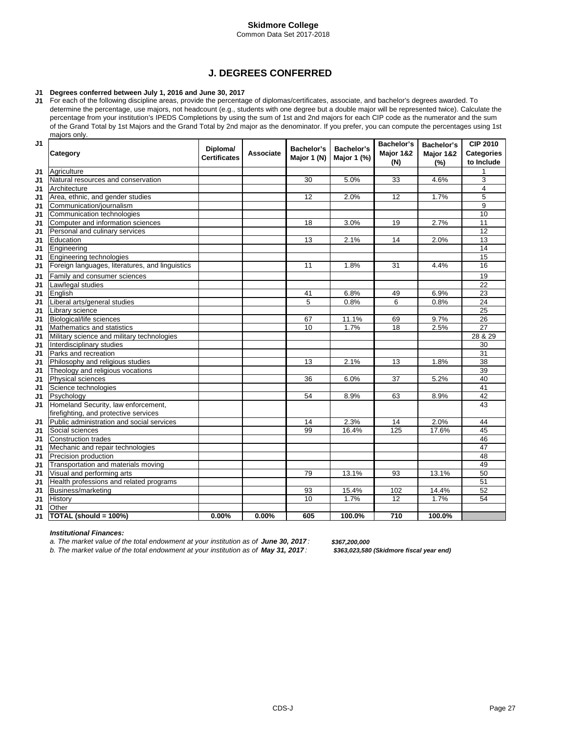Common Data Set 2017-2018

# **J. DEGREES CONFERRED**

#### **J1 Degrees conferred between July 1, 2016 and June 30, 2017**

**J1** For each of the following discipline areas, provide the percentage of diplomas/certificates, associate, and bachelor's degrees awarded. To determine the percentage, use majors, not headcount (e.g., students with one degree but a double major will be represented twice). Calculate the percentage from your institution's IPEDS Completions by using the sum of 1st and 2nd majors for each CIP code as the numerator and the sum of the Grand Total by 1st Majors and the Grand Total by 2nd major as the denominator. If you prefer, you can compute the percentages using 1st majors only.

| J1             | Category                                        | Diploma/<br><b>Certificates</b> | Associate | Bachelor's<br>Major 1 (N) | Bachelor's<br>Major 1 (%) | Bachelor's<br>Major 1&2<br>(N) | Bachelor's<br>Major 1&2<br>(%) | <b>CIP 2010</b><br><b>Categories</b><br>to Include |
|----------------|-------------------------------------------------|---------------------------------|-----------|---------------------------|---------------------------|--------------------------------|--------------------------------|----------------------------------------------------|
| J1             | Agriculture                                     |                                 |           |                           |                           |                                |                                | 1                                                  |
| J <sub>1</sub> | Natural resources and conservation              |                                 |           | 30                        | 5.0%                      | 33                             | 4.6%                           | 3                                                  |
| J1             | Architecture                                    |                                 |           |                           |                           |                                |                                | 4                                                  |
| J1             | Area, ethnic, and gender studies                |                                 |           | 12                        | 2.0%                      | 12                             | 1.7%                           | 5                                                  |
| J1             | Communication/journalism                        |                                 |           |                           |                           |                                |                                | 9                                                  |
| J1             | Communication technologies                      |                                 |           |                           |                           |                                |                                | 10                                                 |
| J1             | Computer and information sciences               |                                 |           | 18                        | 3.0%                      | 19                             | 2.7%                           | 11                                                 |
| J1             | Personal and culinary services                  |                                 |           |                           |                           |                                |                                | $\overline{12}$                                    |
| J1             | Education                                       |                                 |           | 13                        | 2.1%                      | 14                             | 2.0%                           | 13                                                 |
| J1             | Engineering                                     |                                 |           |                           |                           |                                |                                | 14                                                 |
| J1             | <b>Engineering technologies</b>                 |                                 |           |                           |                           |                                |                                | $\overline{15}$                                    |
| J1             | Foreign languages, literatures, and linguistics |                                 |           | 11                        | 1.8%                      | 31                             | 4.4%                           | 16                                                 |
| J1             | Family and consumer sciences                    |                                 |           |                           |                           |                                |                                | $\overline{19}$                                    |
| J1             | Law/legal studies                               |                                 |           |                           |                           |                                |                                | 22                                                 |
| J1             | English                                         |                                 |           | 41                        | 6.8%                      | 49                             | 6.9%                           | 23                                                 |
| J1             | Liberal arts/general studies                    |                                 |           | 5                         | 0.8%                      | 6                              | 0.8%                           | 24                                                 |
| J1             | Library science                                 |                                 |           |                           |                           |                                |                                | 25                                                 |
| J1             | <b>Biological/life sciences</b>                 |                                 |           | 67                        | 11.1%                     | 69                             | 9.7%                           | 26                                                 |
| J1             | Mathematics and statistics                      |                                 |           | 10                        | 1.7%                      | 18                             | 2.5%                           | $\overline{27}$                                    |
| J1             | Military science and military technologies      |                                 |           |                           |                           |                                |                                | 28 & 29                                            |
| J1             | Interdisciplinary studies                       |                                 |           |                           |                           |                                |                                | 30                                                 |
| J1             | Parks and recreation                            |                                 |           |                           |                           |                                |                                | 31                                                 |
| J1             | Philosophy and religious studies                |                                 |           | 13                        | 2.1%                      | 13                             | 1.8%                           | 38                                                 |
| J1             | Theology and religious vocations                |                                 |           |                           |                           |                                |                                | 39                                                 |
| J1             | Physical sciences                               |                                 |           | 36                        | 6.0%                      | $\overline{37}$                | 5.2%                           | 40                                                 |
| J1             | Science technologies                            |                                 |           |                           |                           |                                |                                | 41                                                 |
| J1             | Psychology                                      |                                 |           | 54                        | 8.9%                      | 63                             | 8.9%                           | $\overline{42}$                                    |
| J1             | Homeland Security, law enforcement,             |                                 |           |                           |                           |                                |                                | 43                                                 |
|                | firefighting, and protective services           |                                 |           |                           |                           |                                |                                |                                                    |
| J1             | Public administration and social services       |                                 |           | 14                        | 2.3%                      | 14                             | 2.0%                           | 44                                                 |
| J1             | Social sciences                                 |                                 |           | 99                        | 16.4%                     | 125                            | 17.6%                          | 45                                                 |
| J1             | <b>Construction trades</b>                      |                                 |           |                           |                           |                                |                                | 46                                                 |
| J1             | Mechanic and repair technologies                |                                 |           |                           |                           |                                |                                | 47                                                 |
| J1             | Precision production                            |                                 |           |                           |                           |                                |                                | 48                                                 |
| J1             | Transportation and materials moving             |                                 |           |                           |                           |                                |                                | 49                                                 |
| J1             | Visual and performing arts                      |                                 |           | 79                        | 13.1%                     | 93                             | 13.1%                          | 50                                                 |
| J1             | Health professions and related programs         |                                 |           |                           |                           |                                |                                | 51                                                 |
| J1             | Business/marketing                              |                                 |           | 93                        | 15.4%                     | 102                            | 14.4%                          | 52                                                 |
| J1             | History                                         |                                 |           | 10                        | 1.7%                      | 12                             | 1.7%                           | 54                                                 |
| J1             | Other                                           |                                 |           |                           |                           |                                |                                |                                                    |
| J1             | TOTAL (should = 100%)                           | 0.00%                           | $0.00\%$  | 605                       | 100.0%                    | 710                            | 100.0%                         |                                                    |

#### *Institutional Finances:*

*a. The market value of the total endowment at your institution as of June 30, 2017 :*

*b. The market value of the total endowment at your institution as of May 31, 2017 : \$363,023,580 (Skidmore fiscal year end)*

*\$367,200,000*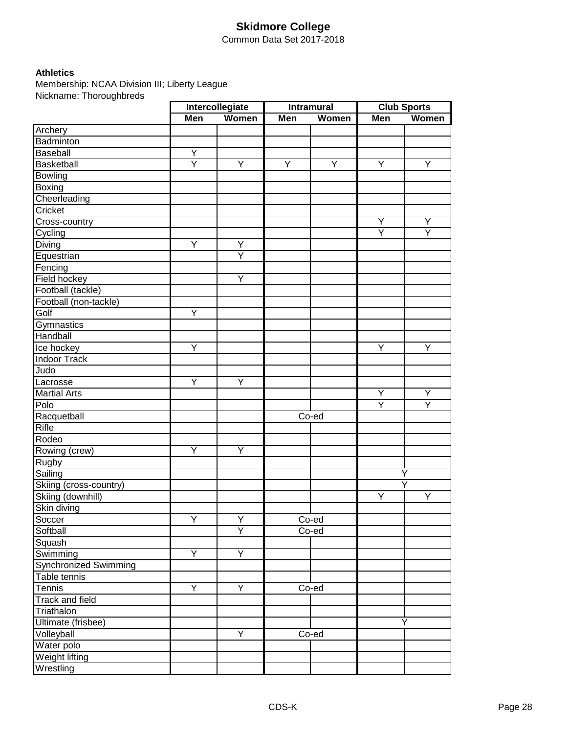Common Data Set 2017-2018

# **Athletics**

Membership: NCAA Division III; Liberty League Nickname: Thoroughbreds

|                              | Intercollegiate |                         |     | <b>Intramural</b> | <b>Club Sports</b>      |       |
|------------------------------|-----------------|-------------------------|-----|-------------------|-------------------------|-------|
|                              | Men             | Women                   | Men | Women             | Men                     | Women |
| Archery                      |                 |                         |     |                   |                         |       |
| Badminton                    |                 |                         |     |                   |                         |       |
| Baseball                     | Y               |                         |     |                   |                         |       |
| Basketball                   | Ÿ               | Y                       | Y   | Y                 | Y                       | Y     |
| <b>Bowling</b>               |                 |                         |     |                   |                         |       |
| <b>Boxing</b>                |                 |                         |     |                   |                         |       |
| Cheerleading                 |                 |                         |     |                   |                         |       |
| Cricket                      |                 |                         |     |                   |                         |       |
| Cross-country                |                 |                         |     |                   | Ÿ                       | Y     |
| Cycling                      |                 |                         |     |                   | $\overline{\mathsf{Y}}$ | Y     |
| Diving                       | Ÿ               | Y                       |     |                   |                         |       |
| Equestrian                   |                 | $\overline{\mathsf{Y}}$ |     |                   |                         |       |
| Fencing                      |                 |                         |     |                   |                         |       |
| Field hockey                 |                 | Υ                       |     |                   |                         |       |
| Football (tackle)            |                 |                         |     |                   |                         |       |
| Football (non-tackle)        |                 |                         |     |                   |                         |       |
| Golf                         | Y               |                         |     |                   |                         |       |
| Gymnastics                   |                 |                         |     |                   |                         |       |
| Handball                     |                 |                         |     |                   |                         |       |
| Ice hockey                   | Y               |                         |     |                   | Υ                       | Υ     |
| <b>Indoor Track</b>          |                 |                         |     |                   |                         |       |
| Judo                         |                 |                         |     |                   |                         |       |
| Lacrosse                     | Y               | Y                       |     |                   |                         |       |
| <b>Martial Arts</b>          |                 |                         |     |                   | Υ                       | Υ     |
| Polo                         |                 |                         |     |                   | Ÿ                       | Y     |
| Racquetball                  |                 |                         |     | Co-ed             |                         |       |
| <b>Rifle</b>                 |                 |                         |     |                   |                         |       |
| Rodeo                        |                 |                         |     |                   |                         |       |
| Rowing (crew)                | Ÿ               | Y                       |     |                   |                         |       |
| Rugby                        |                 |                         |     |                   |                         |       |
| Sailing                      |                 |                         |     |                   |                         | Y     |
| Skiing (cross-country)       |                 |                         |     |                   |                         | Ÿ     |
| Skiing (downhill)            |                 |                         |     |                   | Υ                       | Υ     |
| Skin diving                  |                 |                         |     |                   |                         |       |
| Soccer                       | Y               | Y                       |     | Co-ed             |                         |       |
| Softball                     |                 | Ÿ                       |     | Co-ed             |                         |       |
| Squash                       |                 |                         |     |                   |                         |       |
| Swimming                     | Y               | Y                       |     |                   |                         |       |
| <b>Synchronized Swimming</b> |                 |                         |     |                   |                         |       |
| Table tennis                 |                 |                         |     |                   |                         |       |
| Tennis                       | Y               | Y                       |     | Co-ed             |                         |       |
| Track and field              |                 |                         |     |                   |                         |       |
| Triathalon                   |                 |                         |     |                   |                         |       |
| Ultimate (frisbee)           |                 |                         |     |                   |                         | Υ     |
| Volleyball                   |                 | Ÿ                       |     | Co-ed             |                         |       |
| Water polo                   |                 |                         |     |                   |                         |       |
|                              |                 |                         |     |                   |                         |       |
| Weight lifting               |                 |                         |     |                   |                         |       |
| Wrestling                    |                 |                         |     |                   |                         |       |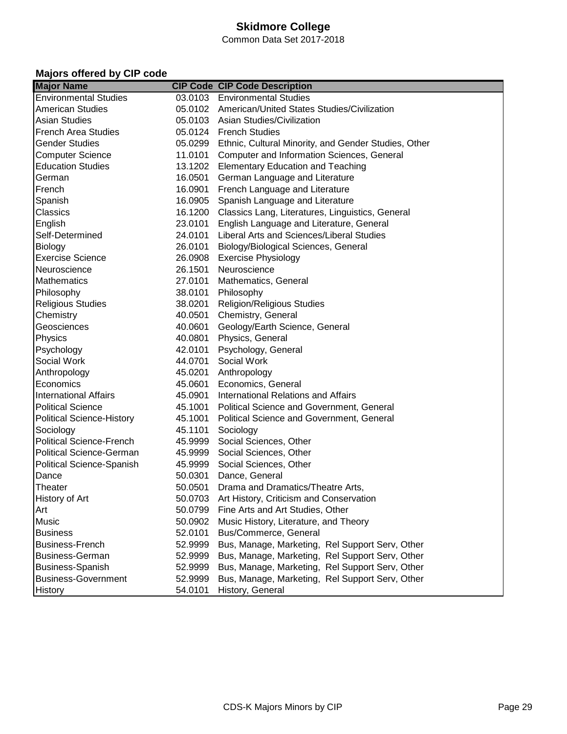Common Data Set 2017-2018

# **Majors offered by CIP code**

| <b>Major Name</b>                |         | <b>CIP Code CIP Code Description</b>                         |
|----------------------------------|---------|--------------------------------------------------------------|
| <b>Environmental Studies</b>     |         | 03.0103 Environmental Studies                                |
| <b>American Studies</b>          |         | 05.0102 American/United States Studies/Civilization          |
| <b>Asian Studies</b>             |         | 05.0103 Asian Studies/Civilization                           |
| <b>French Area Studies</b>       |         | 05.0124 French Studies                                       |
| <b>Gender Studies</b>            |         | 05.0299 Ethnic, Cultural Minority, and Gender Studies, Other |
| <b>Computer Science</b>          |         | 11.0101 Computer and Information Sciences, General           |
| <b>Education Studies</b>         |         | 13.1202 Elementary Education and Teaching                    |
| German                           | 16.0501 | German Language and Literature                               |
| French                           |         | 16.0901 French Language and Literature                       |
| Spanish                          | 16.0905 | Spanish Language and Literature                              |
| Classics                         | 16.1200 | Classics Lang, Literatures, Linguistics, General             |
| English                          | 23.0101 | English Language and Literature, General                     |
| Self-Determined                  | 24.0101 | Liberal Arts and Sciences/Liberal Studies                    |
| Biology                          | 26.0101 | Biology/Biological Sciences, General                         |
| <b>Exercise Science</b>          | 26.0908 | <b>Exercise Physiology</b>                                   |
| Neuroscience                     | 26.1501 | Neuroscience                                                 |
| <b>Mathematics</b>               | 27.0101 | Mathematics, General                                         |
| Philosophy                       | 38.0101 | Philosophy                                                   |
| <b>Religious Studies</b>         | 38.0201 | <b>Religion/Religious Studies</b>                            |
| Chemistry                        | 40.0501 | Chemistry, General                                           |
| Geosciences                      | 40.0601 | Geology/Earth Science, General                               |
| Physics                          |         | 40.0801 Physics, General                                     |
| Psychology                       | 42.0101 | Psychology, General                                          |
| Social Work                      | 44.0701 | Social Work                                                  |
| Anthropology                     | 45.0201 | Anthropology                                                 |
| Economics                        | 45.0601 | Economics, General                                           |
| <b>International Affairs</b>     | 45.0901 | <b>International Relations and Affairs</b>                   |
| <b>Political Science</b>         | 45.1001 | Political Science and Government, General                    |
| <b>Political Science-History</b> | 45.1001 | Political Science and Government, General                    |
| Sociology                        | 45.1101 | Sociology                                                    |
| <b>Political Science-French</b>  | 45.9999 | Social Sciences, Other                                       |
| <b>Political Science-German</b>  | 45.9999 | Social Sciences, Other                                       |
| <b>Political Science-Spanish</b> |         | 45.9999 Social Sciences, Other                               |
| Dance                            |         | 50.0301 Dance, General                                       |
| Theater                          |         | 50.0501 Drama and Dramatics/Theatre Arts,                    |
| History of Art                   |         | 50.0703 Art History, Criticism and Conservation              |
| Art                              |         | 50.0799 Fine Arts and Art Studies, Other                     |
| Music                            | 50.0902 | Music History, Literature, and Theory                        |
| <b>Business</b>                  | 52.0101 | Bus/Commerce, General                                        |
| Business-French                  | 52.9999 | Bus, Manage, Marketing, Rel Support Serv, Other              |
| <b>Business-German</b>           | 52.9999 | Bus, Manage, Marketing, Rel Support Serv, Other              |
| Business-Spanish                 | 52.9999 | Bus, Manage, Marketing, Rel Support Serv, Other              |
| <b>Business-Government</b>       | 52.9999 | Bus, Manage, Marketing, Rel Support Serv, Other              |
| History                          | 54.0101 | History, General                                             |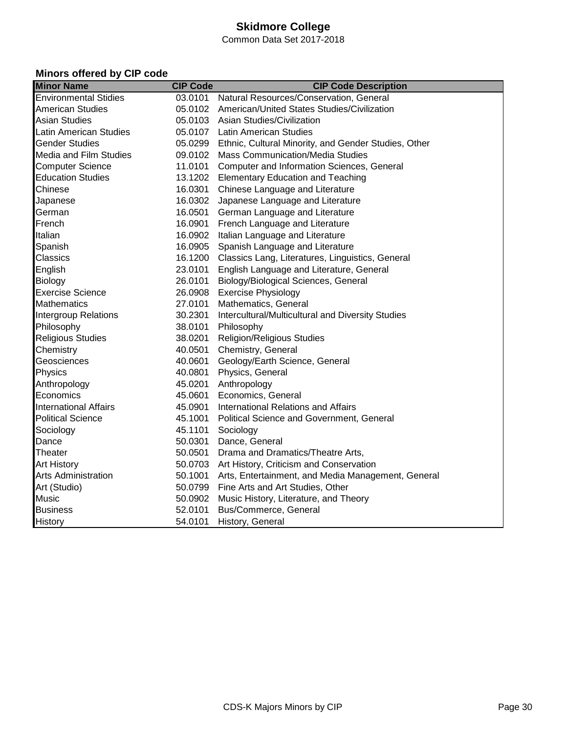Common Data Set 2017-2018

# **Minors offered by CIP code**

| <b>Minor Name</b>            | <b>CIP Code</b> | <b>CIP Code Description</b>                                  |
|------------------------------|-----------------|--------------------------------------------------------------|
| <b>Environmental Stidies</b> |                 | 03.0101 Natural Resources/Conservation, General              |
| <b>American Studies</b>      |                 | 05.0102 American/United States Studies/Civilization          |
| <b>Asian Studies</b>         |                 | 05.0103 Asian Studies/Civilization                           |
| Latin American Studies       |                 | 05.0107 Latin American Studies                               |
| <b>Gender Studies</b>        |                 | 05.0299 Ethnic, Cultural Minority, and Gender Studies, Other |
| Media and Film Studies       |                 | 09.0102 Mass Communication/Media Studies                     |
| <b>Computer Science</b>      |                 | 11.0101 Computer and Information Sciences, General           |
| <b>Education Studies</b>     |                 | 13.1202 Elementary Education and Teaching                    |
| Chinese                      |                 | 16.0301 Chinese Language and Literature                      |
| Japanese                     |                 | 16.0302 Japanese Language and Literature                     |
| German                       |                 | 16.0501 German Language and Literature                       |
| French                       |                 | 16.0901 French Language and Literature                       |
| Italian                      |                 | 16.0902 Italian Language and Literature                      |
| Spanish                      |                 | 16.0905 Spanish Language and Literature                      |
| Classics                     |                 | 16.1200 Classics Lang, Literatures, Linguistics, General     |
| English                      | 23.0101         | English Language and Literature, General                     |
| Biology                      |                 | 26.0101 Biology/Biological Sciences, General                 |
| <b>Exercise Science</b>      |                 | 26.0908 Exercise Physiology                                  |
| <b>Mathematics</b>           |                 | 27.0101 Mathematics, General                                 |
| <b>Intergroup Relations</b>  |                 | 30.2301 Intercultural/Multicultural and Diversity Studies    |
| Philosophy                   |                 | 38.0101 Philosophy                                           |
| <b>Religious Studies</b>     |                 | 38.0201 Religion/Religious Studies                           |
| Chemistry                    |                 | 40.0501 Chemistry, General                                   |
| Geosciences                  |                 | 40.0601 Geology/Earth Science, General                       |
| Physics                      |                 | 40.0801 Physics, General                                     |
| Anthropology                 |                 | 45.0201 Anthropology                                         |
| Economics                    |                 | 45.0601 Economics, General                                   |
| <b>International Affairs</b> |                 | 45.0901 International Relations and Affairs                  |
| <b>Political Science</b>     |                 | 45.1001 Political Science and Government, General            |
| Sociology                    |                 | 45.1101 Sociology                                            |
| Dance                        |                 | 50.0301 Dance, General                                       |
| Theater                      |                 | 50.0501 Drama and Dramatics/Theatre Arts,                    |
| Art History                  |                 | 50.0703 Art History, Criticism and Conservation              |
| <b>Arts Administration</b>   |                 | 50.1001 Arts, Entertainment, and Media Management, General   |
| Art (Studio)                 |                 | 50.0799 Fine Arts and Art Studies, Other                     |
| Music                        |                 | 50.0902 Music History, Literature, and Theory                |
| <b>Business</b>              |                 | 52.0101 Bus/Commerce, General                                |
| History                      |                 | 54.0101 History, General                                     |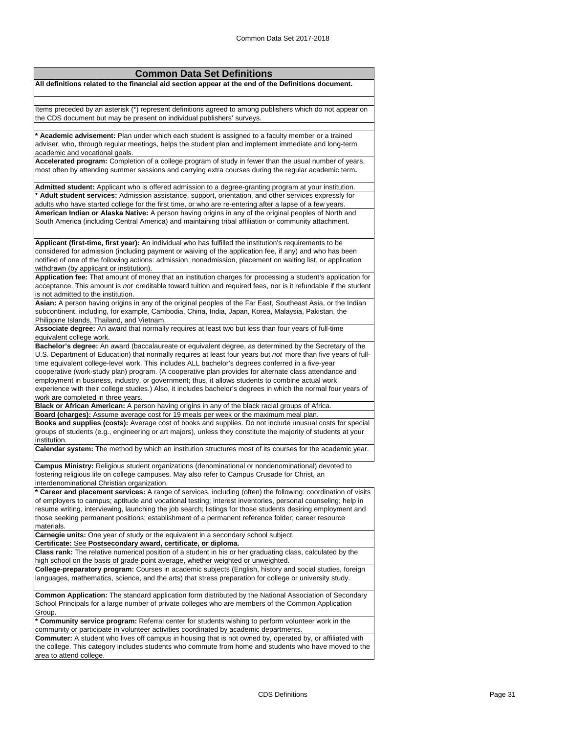| <b>Common Data Set Definitions</b>                                                                                                                                                                                         |
|----------------------------------------------------------------------------------------------------------------------------------------------------------------------------------------------------------------------------|
| All definitions related to the financial aid section appear at the end of the Definitions document.                                                                                                                        |
|                                                                                                                                                                                                                            |
|                                                                                                                                                                                                                            |
| Items preceded by an asterisk (*) represent definitions agreed to among publishers which do not appear on                                                                                                                  |
| the CDS document but may be present on individual publishers' surveys.                                                                                                                                                     |
| * Academic advisement: Plan under which each student is assigned to a faculty member or a trained                                                                                                                          |
| adviser, who, through regular meetings, helps the student plan and implement immediate and long-term                                                                                                                       |
| academic and vocational goals.                                                                                                                                                                                             |
| Accelerated program: Completion of a college program of study in fewer than the usual number of years,                                                                                                                     |
| most often by attending summer sessions and carrying extra courses during the regular academic term.                                                                                                                       |
|                                                                                                                                                                                                                            |
| Admitted student: Applicant who is offered admission to a degree-granting program at your institution.<br>* Adult student services: Admission assistance, support, orientation, and other services expressly for           |
| adults who have started college for the first time, or who are re-entering after a lapse of a few years.                                                                                                                   |
| American Indian or Alaska Native: A person having origins in any of the original peoples of North and                                                                                                                      |
| South America (including Central America) and maintaining tribal affiliation or community attachment.                                                                                                                      |
|                                                                                                                                                                                                                            |
| Applicant (first-time, first year): An individual who has fulfilled the institution's requirements to be                                                                                                                   |
| considered for admission (including payment or waiving of the application fee, if any) and who has been                                                                                                                    |
| notified of one of the following actions: admission, nonadmission, placement on waiting list, or application                                                                                                               |
| withdrawn (by applicant or institution).                                                                                                                                                                                   |
| Application fee: That amount of money that an institution charges for processing a student's application for                                                                                                               |
| acceptance. This amount is not creditable toward tuition and required fees, nor is it refundable if the student                                                                                                            |
| is not admitted to the institution.<br>Asian: A person having origins in any of the original peoples of the Far East, Southeast Asia, or the Indian                                                                        |
| subcontinent, including, for example, Cambodia, China, India, Japan, Korea, Malaysia, Pakistan, the                                                                                                                        |
| Philippine Islands, Thailand, and Vietnam.                                                                                                                                                                                 |
| Associate degree: An award that normally requires at least two but less than four years of full-time                                                                                                                       |
| equivalent college work.                                                                                                                                                                                                   |
| Bachelor's degree: An award (baccalaureate or equivalent degree, as determined by the Secretary of the                                                                                                                     |
| U.S. Department of Education) that normally requires at least four years but not more than five years of full-                                                                                                             |
| time equivalent college-level work. This includes ALL bachelor's degrees conferred in a five-year                                                                                                                          |
| cooperative (work-study plan) program. (A cooperative plan provides for alternate class attendance and<br>employment in business, industry, or government; thus, it allows students to combine actual work                 |
| experience with their college studies.) Also, it includes bachelor's degrees in which the normal four years of                                                                                                             |
| work are completed in three years.                                                                                                                                                                                         |
| Black or African American: A person having origins in any of the black racial groups of Africa.                                                                                                                            |
| Board (charges): Assume average cost for 19 meals per week or the maximum meal plan.                                                                                                                                       |
| Books and supplies (costs): Average cost of books and supplies. Do not include unusual costs for special                                                                                                                   |
| groups of students (e.g., engineering or art majors), unless they constitute the majority of students at your                                                                                                              |
| institution.<br>Calendar system: The method by which an institution structures most of its courses for the academic year.                                                                                                  |
|                                                                                                                                                                                                                            |
| Campus Ministry: Religious student organizations (denominational or nondenominational) devoted to                                                                                                                          |
| fostering religious life on college campuses. May also refer to Campus Crusade for Christ, an                                                                                                                              |
| interdenominational Christian organization.                                                                                                                                                                                |
| * Career and placement services: A range of services, including (often) the following: coordination of visits                                                                                                              |
| of employers to campus; aptitude and vocational testing; interest inventories, personal counseling; help in<br>resume writing, interviewing, launching the job search; listings for those students desiring employment and |
| those seeking permanent positions; establishment of a permanent reference folder; career resource                                                                                                                          |
| materials.                                                                                                                                                                                                                 |
| Carnegie units: One year of study or the equivalent in a secondary school subject.                                                                                                                                         |
| Certificate: See Postsecondary award, certificate, or diploma.                                                                                                                                                             |
| Class rank: The relative numerical position of a student in his or her graduating class, calculated by the                                                                                                                 |
| high school on the basis of grade-point average, whether weighted or unweighted.                                                                                                                                           |
| College-preparatory program: Courses in academic subjects (English, history and social studies, foreign<br>languages, mathematics, science, and the arts) that stress preparation for college or university study.         |
|                                                                                                                                                                                                                            |
| Common Application: The standard application form distributed by the National Association of Secondary                                                                                                                     |
| School Principals for a large number of private colleges who are members of the Common Application                                                                                                                         |
| Group.                                                                                                                                                                                                                     |
| * Community service program: Referral center for students wishing to perform volunteer work in the                                                                                                                         |
| community or participate in volunteer activities coordinated by academic departments.<br>Commuter: A student who lives off campus in housing that is not owned by, operated by, or affiliated with                         |
| the college. This category includes students who commute from home and students who have moved to the                                                                                                                      |
| area to attend college.                                                                                                                                                                                                    |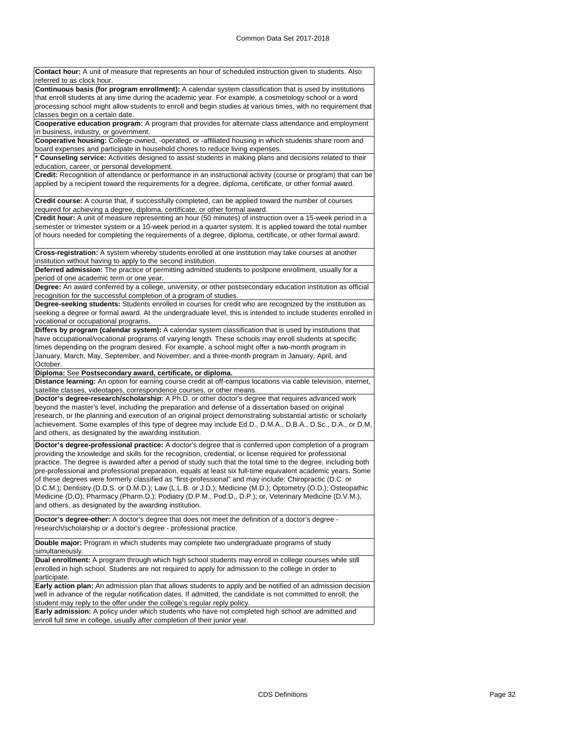| Contact hour: A unit of measure that represents an hour of scheduled instruction given to students. Also<br>referred to as clock hour.                                                                                       |
|------------------------------------------------------------------------------------------------------------------------------------------------------------------------------------------------------------------------------|
| Continuous basis (for program enrollment): A calendar system classification that is used by institutions                                                                                                                     |
| that enroll students at any time during the academic year. For example, a cosmetology school or a word                                                                                                                       |
| processing school might allow students to enroll and begin studies at various times, with no requirement that                                                                                                                |
| classes begin on a certain date.                                                                                                                                                                                             |
| Cooperative education program: A program that provides for alternate class attendance and employment                                                                                                                         |
| in business, industry, or government.                                                                                                                                                                                        |
| Cooperative housing: College-owned, -operated, or -affiliated housing in which students share room and                                                                                                                       |
| board expenses and participate in household chores to reduce living expenses.                                                                                                                                                |
| * Counseling service: Activities designed to assist students in making plans and decisions related to their                                                                                                                  |
| education, career, or personal development.                                                                                                                                                                                  |
| Credit: Recognition of attendance or performance in an instructional activity (course or program) that can be                                                                                                                |
| applied by a recipient toward the requirements for a degree, diploma, certificate, or other formal award.                                                                                                                    |
|                                                                                                                                                                                                                              |
| Credit course: A course that, if successfully completed, can be applied toward the number of courses                                                                                                                         |
| required for achieving a degree, diploma, certificate, or other formal award.                                                                                                                                                |
| Credit hour: A unit of measure representing an hour (50 minutes) of instruction over a 15-week period in a                                                                                                                   |
| semester or trimester system or a 10-week period in a quarter system. It is applied toward the total number                                                                                                                  |
| of hours needed for completing the requirements of a degree, diploma, certificate, or other formal award.                                                                                                                    |
|                                                                                                                                                                                                                              |
| Cross-registration: A system whereby students enrolled at one institution may take courses at another                                                                                                                        |
| institution without having to apply to the second institution.                                                                                                                                                               |
| Deferred admission: The practice of permitting admitted students to postpone enrollment, usually for a                                                                                                                       |
| period of one academic term or one year.                                                                                                                                                                                     |
| Degree: An award conferred by a college, university, or other postsecondary education institution as official                                                                                                                |
| recognition for the successful completion of a program of studies.                                                                                                                                                           |
| Degree-seeking students: Students enrolled in courses for credit who are recognized by the institution as                                                                                                                    |
| seeking a degree or formal award. At the undergraduate level, this is intended to include students enrolled in                                                                                                               |
| vocational or occupational programs.                                                                                                                                                                                         |
| Differs by program (calendar system): A calendar system classification that is used by institutions that                                                                                                                     |
| have occupational/vocational programs of varying length. These schools may enroll students at specific                                                                                                                       |
| times depending on the program desired. For example, a school might offer a two-month program in                                                                                                                             |
| January, March, May, September, and November; and a three-month program in January, April, and                                                                                                                               |
| October.                                                                                                                                                                                                                     |
| Diploma: See Postsecondary award, certificate, or diploma.                                                                                                                                                                   |
| Distance learning: An option for earning course credit at off-campus locations via cable television, internet,                                                                                                               |
| satellite classes, videotapes, correspondence courses, or other means.                                                                                                                                                       |
| Doctor's degree-research/scholarship: A Ph.D. or other doctor's degree that requires advanced work                                                                                                                           |
| beyond the master's level, including the preparation and defense of a dissertation based on original                                                                                                                         |
| research, or the planning and execution of an original project demonstrating substantial artistic or scholarly                                                                                                               |
| achievement. Some examples of this type of degree may include Ed.D., D.M.A., D.B.A., D.Sc., D.A., or D.M,                                                                                                                    |
| and others, as designated by the awarding institution.                                                                                                                                                                       |
|                                                                                                                                                                                                                              |
| Doctor's degree-professional practice: A doctor's degree that is conferred upon completion of a program                                                                                                                      |
| providing the knowledge and skills for the recognition, credential, or license required for professional                                                                                                                     |
| practice. The degree is awarded after a period of study such that the total time to the degree, including both                                                                                                               |
| pre-professional and professional preparation, equals at least six full-time equivalent academic years. Some                                                                                                                 |
| of these degrees were formerly classified as "first-professional" and may include: Chiropractic (D.C. or                                                                                                                     |
| D.C.M.); Dentistry (D.D.S. or D.M.D.); Law (L.L.B. or J.D.); Medicine (M.D.); Optometry (O.D.); Osteopathic                                                                                                                  |
| Medicine (D.O); Pharmacy (Pharm.D.); Podiatry (D.P.M., Pod.D., D.P.); or, Veterinary Medicine (D.V.M.),                                                                                                                      |
| and others, as designated by the awarding institution.                                                                                                                                                                       |
| Doctor's degree-other: A doctor's degree that does not meet the definition of a doctor's degree -                                                                                                                            |
| research/scholarship or a doctor's degree - professional practice.                                                                                                                                                           |
| Double major: Program in which students may complete two undergraduate programs of study                                                                                                                                     |
| simultaneously.                                                                                                                                                                                                              |
| Dual enrollment: A program through which high school students may enroll in college courses while still                                                                                                                      |
|                                                                                                                                                                                                                              |
| enrolled in high school. Students are not required to apply for admission to the college in order to                                                                                                                         |
| participate.                                                                                                                                                                                                                 |
| Early action plan: An admission plan that allows students to apply and be notified of an admission decision<br>well in advance of the regular notification dates. If admitted, the candidate is not committed to enroll; the |
| student may reply to the offer under the college's regular reply policy.                                                                                                                                                     |
|                                                                                                                                                                                                                              |

**Early admission:** A policy under which students who have not completed high school are admitted and enroll full time in college, usually after completion of their junior year.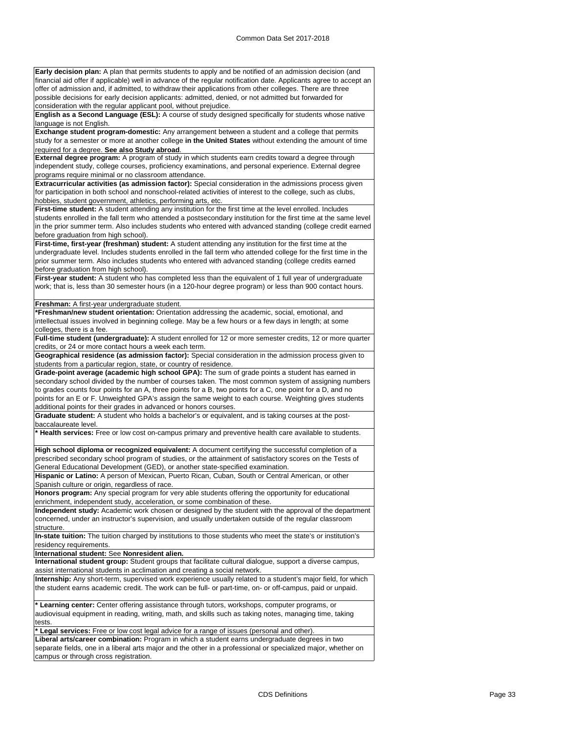| Early decision plan: A plan that permits students to apply and be notified of an admission decision (and                                                                                                                                                                                                                                                                                                                                                                                                                                                                                                                                                                                                                                                                                                                                                                                                                                                                                                                                                                                                                                                                                                                                                       |
|----------------------------------------------------------------------------------------------------------------------------------------------------------------------------------------------------------------------------------------------------------------------------------------------------------------------------------------------------------------------------------------------------------------------------------------------------------------------------------------------------------------------------------------------------------------------------------------------------------------------------------------------------------------------------------------------------------------------------------------------------------------------------------------------------------------------------------------------------------------------------------------------------------------------------------------------------------------------------------------------------------------------------------------------------------------------------------------------------------------------------------------------------------------------------------------------------------------------------------------------------------------|
| financial aid offer if applicable) well in advance of the regular notification date. Applicants agree to accept an                                                                                                                                                                                                                                                                                                                                                                                                                                                                                                                                                                                                                                                                                                                                                                                                                                                                                                                                                                                                                                                                                                                                             |
| offer of admission and, if admitted, to withdraw their applications from other colleges. There are three                                                                                                                                                                                                                                                                                                                                                                                                                                                                                                                                                                                                                                                                                                                                                                                                                                                                                                                                                                                                                                                                                                                                                       |
| possible decisions for early decision applicants: admitted, denied, or not admitted but forwarded for                                                                                                                                                                                                                                                                                                                                                                                                                                                                                                                                                                                                                                                                                                                                                                                                                                                                                                                                                                                                                                                                                                                                                          |
| consideration with the regular applicant pool, without prejudice.                                                                                                                                                                                                                                                                                                                                                                                                                                                                                                                                                                                                                                                                                                                                                                                                                                                                                                                                                                                                                                                                                                                                                                                              |
| English as a Second Language (ESL): A course of study designed specifically for students whose native                                                                                                                                                                                                                                                                                                                                                                                                                                                                                                                                                                                                                                                                                                                                                                                                                                                                                                                                                                                                                                                                                                                                                          |
| language is not English.                                                                                                                                                                                                                                                                                                                                                                                                                                                                                                                                                                                                                                                                                                                                                                                                                                                                                                                                                                                                                                                                                                                                                                                                                                       |
| Exchange student program-domestic: Any arrangement between a student and a college that permits                                                                                                                                                                                                                                                                                                                                                                                                                                                                                                                                                                                                                                                                                                                                                                                                                                                                                                                                                                                                                                                                                                                                                                |
| study for a semester or more at another college in the United States without extending the amount of time                                                                                                                                                                                                                                                                                                                                                                                                                                                                                                                                                                                                                                                                                                                                                                                                                                                                                                                                                                                                                                                                                                                                                      |
| required for a degree. See also Study abroad.                                                                                                                                                                                                                                                                                                                                                                                                                                                                                                                                                                                                                                                                                                                                                                                                                                                                                                                                                                                                                                                                                                                                                                                                                  |
| External degree program: A program of study in which students earn credits toward a degree through                                                                                                                                                                                                                                                                                                                                                                                                                                                                                                                                                                                                                                                                                                                                                                                                                                                                                                                                                                                                                                                                                                                                                             |
| independent study, college courses, proficiency examinations, and personal experience. External degree                                                                                                                                                                                                                                                                                                                                                                                                                                                                                                                                                                                                                                                                                                                                                                                                                                                                                                                                                                                                                                                                                                                                                         |
| programs require minimal or no classroom attendance.                                                                                                                                                                                                                                                                                                                                                                                                                                                                                                                                                                                                                                                                                                                                                                                                                                                                                                                                                                                                                                                                                                                                                                                                           |
| Extracurricular activities (as admission factor): Special consideration in the admissions process given                                                                                                                                                                                                                                                                                                                                                                                                                                                                                                                                                                                                                                                                                                                                                                                                                                                                                                                                                                                                                                                                                                                                                        |
| for participation in both school and nonschool-related activities of interest to the college, such as clubs,                                                                                                                                                                                                                                                                                                                                                                                                                                                                                                                                                                                                                                                                                                                                                                                                                                                                                                                                                                                                                                                                                                                                                   |
| hobbies, student government, athletics, performing arts, etc.                                                                                                                                                                                                                                                                                                                                                                                                                                                                                                                                                                                                                                                                                                                                                                                                                                                                                                                                                                                                                                                                                                                                                                                                  |
| First-time student: A student attending any institution for the first time at the level enrolled. Includes                                                                                                                                                                                                                                                                                                                                                                                                                                                                                                                                                                                                                                                                                                                                                                                                                                                                                                                                                                                                                                                                                                                                                     |
| students enrolled in the fall term who attended a postsecondary institution for the first time at the same level                                                                                                                                                                                                                                                                                                                                                                                                                                                                                                                                                                                                                                                                                                                                                                                                                                                                                                                                                                                                                                                                                                                                               |
| in the prior summer term. Also includes students who entered with advanced standing (college credit earned                                                                                                                                                                                                                                                                                                                                                                                                                                                                                                                                                                                                                                                                                                                                                                                                                                                                                                                                                                                                                                                                                                                                                     |
| before graduation from high school).                                                                                                                                                                                                                                                                                                                                                                                                                                                                                                                                                                                                                                                                                                                                                                                                                                                                                                                                                                                                                                                                                                                                                                                                                           |
| First-time, first-year (freshman) student: A student attending any institution for the first time at the                                                                                                                                                                                                                                                                                                                                                                                                                                                                                                                                                                                                                                                                                                                                                                                                                                                                                                                                                                                                                                                                                                                                                       |
| undergraduate level. Includes students enrolled in the fall term who attended college for the first time in the                                                                                                                                                                                                                                                                                                                                                                                                                                                                                                                                                                                                                                                                                                                                                                                                                                                                                                                                                                                                                                                                                                                                                |
| prior summer term. Also includes students who entered with advanced standing (college credits earned                                                                                                                                                                                                                                                                                                                                                                                                                                                                                                                                                                                                                                                                                                                                                                                                                                                                                                                                                                                                                                                                                                                                                           |
| before graduation from high school).                                                                                                                                                                                                                                                                                                                                                                                                                                                                                                                                                                                                                                                                                                                                                                                                                                                                                                                                                                                                                                                                                                                                                                                                                           |
|                                                                                                                                                                                                                                                                                                                                                                                                                                                                                                                                                                                                                                                                                                                                                                                                                                                                                                                                                                                                                                                                                                                                                                                                                                                                |
| First-year student: A student who has completed less than the equivalent of 1 full year of undergraduate                                                                                                                                                                                                                                                                                                                                                                                                                                                                                                                                                                                                                                                                                                                                                                                                                                                                                                                                                                                                                                                                                                                                                       |
| work; that is, less than 30 semester hours (in a 120-hour degree program) or less than 900 contact hours.                                                                                                                                                                                                                                                                                                                                                                                                                                                                                                                                                                                                                                                                                                                                                                                                                                                                                                                                                                                                                                                                                                                                                      |
|                                                                                                                                                                                                                                                                                                                                                                                                                                                                                                                                                                                                                                                                                                                                                                                                                                                                                                                                                                                                                                                                                                                                                                                                                                                                |
| Freshman: A first-year undergraduate student.                                                                                                                                                                                                                                                                                                                                                                                                                                                                                                                                                                                                                                                                                                                                                                                                                                                                                                                                                                                                                                                                                                                                                                                                                  |
| *Freshman/new student orientation: Orientation addressing the academic, social, emotional, and                                                                                                                                                                                                                                                                                                                                                                                                                                                                                                                                                                                                                                                                                                                                                                                                                                                                                                                                                                                                                                                                                                                                                                 |
| intellectual issues involved in beginning college. May be a few hours or a few days in length; at some                                                                                                                                                                                                                                                                                                                                                                                                                                                                                                                                                                                                                                                                                                                                                                                                                                                                                                                                                                                                                                                                                                                                                         |
| colleges, there is a fee.                                                                                                                                                                                                                                                                                                                                                                                                                                                                                                                                                                                                                                                                                                                                                                                                                                                                                                                                                                                                                                                                                                                                                                                                                                      |
| Full-time student (undergraduate): A student enrolled for 12 or more semester credits, 12 or more quarter                                                                                                                                                                                                                                                                                                                                                                                                                                                                                                                                                                                                                                                                                                                                                                                                                                                                                                                                                                                                                                                                                                                                                      |
| credits, or 24 or more contact hours a week each term.                                                                                                                                                                                                                                                                                                                                                                                                                                                                                                                                                                                                                                                                                                                                                                                                                                                                                                                                                                                                                                                                                                                                                                                                         |
| Geographical residence (as admission factor): Special consideration in the admission process given to                                                                                                                                                                                                                                                                                                                                                                                                                                                                                                                                                                                                                                                                                                                                                                                                                                                                                                                                                                                                                                                                                                                                                          |
| students from a particular region, state, or country of residence.                                                                                                                                                                                                                                                                                                                                                                                                                                                                                                                                                                                                                                                                                                                                                                                                                                                                                                                                                                                                                                                                                                                                                                                             |
| Grade-point average (academic high school GPA): The sum of grade points a student has earned in                                                                                                                                                                                                                                                                                                                                                                                                                                                                                                                                                                                                                                                                                                                                                                                                                                                                                                                                                                                                                                                                                                                                                                |
| secondary school divided by the number of courses taken. The most common system of assigning numbers                                                                                                                                                                                                                                                                                                                                                                                                                                                                                                                                                                                                                                                                                                                                                                                                                                                                                                                                                                                                                                                                                                                                                           |
| to grades counts four points for an A, three points for a B, two points for a C, one point for a D, and no                                                                                                                                                                                                                                                                                                                                                                                                                                                                                                                                                                                                                                                                                                                                                                                                                                                                                                                                                                                                                                                                                                                                                     |
| points for an E or F. Unweighted GPA's assign the same weight to each course. Weighting gives students                                                                                                                                                                                                                                                                                                                                                                                                                                                                                                                                                                                                                                                                                                                                                                                                                                                                                                                                                                                                                                                                                                                                                         |
| additional points for their grades in advanced or honors courses.                                                                                                                                                                                                                                                                                                                                                                                                                                                                                                                                                                                                                                                                                                                                                                                                                                                                                                                                                                                                                                                                                                                                                                                              |
| Graduate student: A student who holds a bachelor's or equivalent, and is taking courses at the post-                                                                                                                                                                                                                                                                                                                                                                                                                                                                                                                                                                                                                                                                                                                                                                                                                                                                                                                                                                                                                                                                                                                                                           |
| baccalaureate level.                                                                                                                                                                                                                                                                                                                                                                                                                                                                                                                                                                                                                                                                                                                                                                                                                                                                                                                                                                                                                                                                                                                                                                                                                                           |
| * Health services: Free or low cost on-campus primary and preventive health care available to students.                                                                                                                                                                                                                                                                                                                                                                                                                                                                                                                                                                                                                                                                                                                                                                                                                                                                                                                                                                                                                                                                                                                                                        |
|                                                                                                                                                                                                                                                                                                                                                                                                                                                                                                                                                                                                                                                                                                                                                                                                                                                                                                                                                                                                                                                                                                                                                                                                                                                                |
| High school diploma or recognized equivalent: A document certifying the successful completion of a                                                                                                                                                                                                                                                                                                                                                                                                                                                                                                                                                                                                                                                                                                                                                                                                                                                                                                                                                                                                                                                                                                                                                             |
| prescribed secondary school program of studies, or the attainment of satisfactory scores on the Tests of                                                                                                                                                                                                                                                                                                                                                                                                                                                                                                                                                                                                                                                                                                                                                                                                                                                                                                                                                                                                                                                                                                                                                       |
|                                                                                                                                                                                                                                                                                                                                                                                                                                                                                                                                                                                                                                                                                                                                                                                                                                                                                                                                                                                                                                                                                                                                                                                                                                                                |
|                                                                                                                                                                                                                                                                                                                                                                                                                                                                                                                                                                                                                                                                                                                                                                                                                                                                                                                                                                                                                                                                                                                                                                                                                                                                |
| General Educational Development (GED), or another state-specified examination.                                                                                                                                                                                                                                                                                                                                                                                                                                                                                                                                                                                                                                                                                                                                                                                                                                                                                                                                                                                                                                                                                                                                                                                 |
|                                                                                                                                                                                                                                                                                                                                                                                                                                                                                                                                                                                                                                                                                                                                                                                                                                                                                                                                                                                                                                                                                                                                                                                                                                                                |
| Hispanic or Latino: A person of Mexican, Puerto Rican, Cuban, South or Central American, or other<br>Spanish culture or origin, regardless of race.                                                                                                                                                                                                                                                                                                                                                                                                                                                                                                                                                                                                                                                                                                                                                                                                                                                                                                                                                                                                                                                                                                            |
|                                                                                                                                                                                                                                                                                                                                                                                                                                                                                                                                                                                                                                                                                                                                                                                                                                                                                                                                                                                                                                                                                                                                                                                                                                                                |
|                                                                                                                                                                                                                                                                                                                                                                                                                                                                                                                                                                                                                                                                                                                                                                                                                                                                                                                                                                                                                                                                                                                                                                                                                                                                |
|                                                                                                                                                                                                                                                                                                                                                                                                                                                                                                                                                                                                                                                                                                                                                                                                                                                                                                                                                                                                                                                                                                                                                                                                                                                                |
|                                                                                                                                                                                                                                                                                                                                                                                                                                                                                                                                                                                                                                                                                                                                                                                                                                                                                                                                                                                                                                                                                                                                                                                                                                                                |
|                                                                                                                                                                                                                                                                                                                                                                                                                                                                                                                                                                                                                                                                                                                                                                                                                                                                                                                                                                                                                                                                                                                                                                                                                                                                |
|                                                                                                                                                                                                                                                                                                                                                                                                                                                                                                                                                                                                                                                                                                                                                                                                                                                                                                                                                                                                                                                                                                                                                                                                                                                                |
|                                                                                                                                                                                                                                                                                                                                                                                                                                                                                                                                                                                                                                                                                                                                                                                                                                                                                                                                                                                                                                                                                                                                                                                                                                                                |
|                                                                                                                                                                                                                                                                                                                                                                                                                                                                                                                                                                                                                                                                                                                                                                                                                                                                                                                                                                                                                                                                                                                                                                                                                                                                |
|                                                                                                                                                                                                                                                                                                                                                                                                                                                                                                                                                                                                                                                                                                                                                                                                                                                                                                                                                                                                                                                                                                                                                                                                                                                                |
|                                                                                                                                                                                                                                                                                                                                                                                                                                                                                                                                                                                                                                                                                                                                                                                                                                                                                                                                                                                                                                                                                                                                                                                                                                                                |
|                                                                                                                                                                                                                                                                                                                                                                                                                                                                                                                                                                                                                                                                                                                                                                                                                                                                                                                                                                                                                                                                                                                                                                                                                                                                |
|                                                                                                                                                                                                                                                                                                                                                                                                                                                                                                                                                                                                                                                                                                                                                                                                                                                                                                                                                                                                                                                                                                                                                                                                                                                                |
|                                                                                                                                                                                                                                                                                                                                                                                                                                                                                                                                                                                                                                                                                                                                                                                                                                                                                                                                                                                                                                                                                                                                                                                                                                                                |
|                                                                                                                                                                                                                                                                                                                                                                                                                                                                                                                                                                                                                                                                                                                                                                                                                                                                                                                                                                                                                                                                                                                                                                                                                                                                |
| Honors program: Any special program for very able students offering the opportunity for educational<br>enrichment, independent study, acceleration, or some combination of these.<br>Independent study: Academic work chosen or designed by the student with the approval of the department<br>concerned, under an instructor's supervision, and usually undertaken outside of the regular classroom<br>structure.<br>In-state tuition: The tuition charged by institutions to those students who meet the state's or institution's<br>residency requirements.<br>International student: See Nonresident alien.<br>International student group: Student groups that facilitate cultural dialogue, support a diverse campus,<br>assist international students in acclimation and creating a social network.<br>Internship: Any short-term, supervised work experience usually related to a student's major field, for which<br>the student earns academic credit. The work can be full- or part-time, on- or off-campus, paid or unpaid.<br>* Learning center: Center offering assistance through tutors, workshops, computer programs, or<br>audiovisual equipment in reading, writing, math, and skills such as taking notes, managing time, taking<br>tests. |
| * Legal services: Free or low cost legal advice for a range of issues (personal and other).                                                                                                                                                                                                                                                                                                                                                                                                                                                                                                                                                                                                                                                                                                                                                                                                                                                                                                                                                                                                                                                                                                                                                                    |
| Liberal arts/career combination: Program in which a student earns undergraduate degrees in two                                                                                                                                                                                                                                                                                                                                                                                                                                                                                                                                                                                                                                                                                                                                                                                                                                                                                                                                                                                                                                                                                                                                                                 |
| separate fields, one in a liberal arts major and the other in a professional or specialized major, whether on                                                                                                                                                                                                                                                                                                                                                                                                                                                                                                                                                                                                                                                                                                                                                                                                                                                                                                                                                                                                                                                                                                                                                  |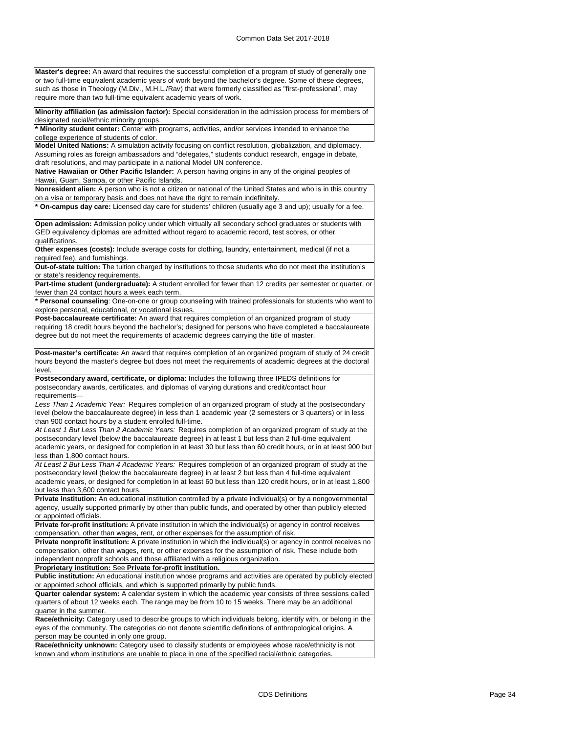or two full-time equivalent academic years of work beyond the bachelor's degree. Some of these degrees, such as those in Theology (M.Div., M.H.L./Rav) that were formerly classified as "first-professional", may require more than two full-time equivalent academic years of work. **Minority affiliation (as admission factor):** Special consideration in the admission process for members of designated racial/ethnic minority groups. **\* Minority student center:** Center with programs, activities, and/or services intended to enhance the college experience of students of color. **Model United Nations:** A simulation activity focusing on conflict resolution, globalization, and diplomacy. Assuming roles as foreign ambassadors and "delegates," students conduct research, engage in debate, draft resolutions, and may participate in a national Model UN conference. **Native Hawaiian or Other Pacific Islander:** A person having origins in any of the original peoples of Hawaii, Guam, Samoa, or other Pacific Islands. **Nonresident alien:** A person who is not a citizen or national of the United States and who is in this country on a visa or temporary basis and does not have the right to remain indefinitely. **\* On-campus day care:** Licensed day care for students' children (usually age 3 and up); usually for a fee. **Open admission:** Admission policy under which virtually all secondary school graduates or students with GED equivalency diplomas are admitted without regard to academic record, test scores, or other qualifications. **Other expenses (costs):** Include average costs for clothing, laundry, entertainment, medical (if not a required fee), and furnishings. **Out-of-state tuition:** The tuition charged by institutions to those students who do not meet the institution's or state's residency requirements. **Part-time student (undergraduate):** A student enrolled for fewer than 12 credits per semester or quarter, or fewer than 24 contact hours a week each term. **\* Personal counseling**: One-on-one or group counseling with trained professionals for students who want to explore personal, educational, or vocational issues. **Post-baccalaureate certificate:** An award that requires completion of an organized program of study requiring 18 credit hours beyond the bachelor's; designed for persons who have completed a baccalaureate degree but do not meet the requirements of academic degrees carrying the title of master. **Post-master's certificate:** An award that requires completion of an organized program of study of 24 credit hours beyond the master's degree but does not meet the requirements of academic degrees at the doctoral level. **Postsecondary award, certificate, or diploma:** Includes the following three IPEDS definitions for postsecondary awards, certificates, and diplomas of varying durations and credit/contact hour requirements— *Less Than 1 Academic Year:* Requires completion of an organized program of study at the postsecondary level (below the baccalaureate degree) in less than 1 academic year (2 semesters or 3 quarters) or in less than 900 contact hours by a student enrolled full-time. *At Least 1 But Less Than 2 Academic Years:* Requires completion of an organized program of study at the postsecondary level (below the baccalaureate degree) in at least 1 but less than 2 full-time equivalent academic years, or designed for completion in at least 30 but less than 60 credit hours, or in at least 900 but less than 1,800 contact hours. *At Least 2 But Less Than 4 Academic Years:* Requires completion of an organized program of study at the postsecondary level (below the baccalaureate degree) in at least 2 but less than 4 full-time equivalent academic years, or designed for completion in at least 60 but less than 120 credit hours, or in at least 1,800 but less than 3,600 contact hours. **Private institution:** An educational institution controlled by a private individual(s) or by a nongovernmental agency, usually supported primarily by other than public funds, and operated by other than publicly elected or appointed officials. **Private for-profit institution:** A private institution in which the individual(s) or agency in control receives compensation, other than wages, rent, or other expenses for the assumption of risk. **Private nonprofit institution:** A private institution in which the individual(s) or agency in control receives no compensation, other than wages, rent, or other expenses for the assumption of risk. These include both independent nonprofit schools and those affiliated with a religious organization. **Proprietary institution:** See **Private for-profit institution. Public institution:** An educational institution whose programs and activities are operated by publicly elected or appointed school officials, and which is supported primarily by public funds. **Quarter calendar system:** A calendar system in which the academic year consists of three sessions called quarters of about 12 weeks each. The range may be from 10 to 15 weeks. There may be an additional quarter in the summer.

**Master's degree:** An award that requires the successful completion of a program of study of generally one

**Race/ethnicity:** Category used to describe groups to which individuals belong, identify with, or belong in the eyes of the community. The categories do not denote scientific definitions of anthropological origins. A person may be counted in only one group.

**Race/ethnicity unknown:** Category used to classify students or employees whose race/ethnicity is not known and whom institutions are unable to place in one of the specified racial/ethnic categories.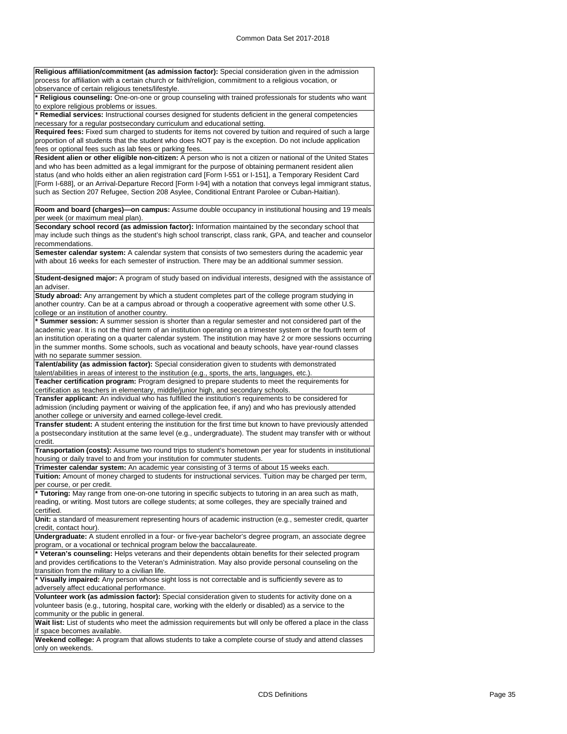| Religious affiliation/commitment (as admission factor): Special consideration given in the admission<br>process for affiliation with a certain church or faith/religion, commitment to a religious vocation, or<br>observance of certain religious tenets/lifestyle.                                                                                                                                                                                                                                                                                 |
|------------------------------------------------------------------------------------------------------------------------------------------------------------------------------------------------------------------------------------------------------------------------------------------------------------------------------------------------------------------------------------------------------------------------------------------------------------------------------------------------------------------------------------------------------|
| * Religious counseling: One-on-one or group counseling with trained professionals for students who want                                                                                                                                                                                                                                                                                                                                                                                                                                              |
| to explore religious problems or issues.<br>* Remedial services: Instructional courses designed for students deficient in the general competencies                                                                                                                                                                                                                                                                                                                                                                                                   |
| necessary for a regular postsecondary curriculum and educational setting.                                                                                                                                                                                                                                                                                                                                                                                                                                                                            |
| Required fees: Fixed sum charged to students for items not covered by tuition and required of such a large<br>proportion of all students that the student who does NOT pay is the exception. Do not include application                                                                                                                                                                                                                                                                                                                              |
| fees or optional fees such as lab fees or parking fees.                                                                                                                                                                                                                                                                                                                                                                                                                                                                                              |
| Resident alien or other eligible non-citizen: A person who is not a citizen or national of the United States<br>and who has been admitted as a legal immigrant for the purpose of obtaining permanent resident alien<br>status (and who holds either an alien registration card [Form I-551 or I-151], a Temporary Resident Card<br>[Form I-688], or an Arrival-Departure Record [Form I-94] with a notation that conveys legal immigrant status,<br>such as Section 207 Refugee, Section 208 Asylee, Conditional Entrant Parolee or Cuban-Haitian). |
| Room and board (charges)-on campus: Assume double occupancy in institutional housing and 19 meals                                                                                                                                                                                                                                                                                                                                                                                                                                                    |
| per week (or maximum meal plan).                                                                                                                                                                                                                                                                                                                                                                                                                                                                                                                     |
| Secondary school record (as admission factor): Information maintained by the secondary school that<br>may include such things as the student's high school transcript, class rank, GPA, and teacher and counselor                                                                                                                                                                                                                                                                                                                                    |
| recommendations.<br>Semester calendar system: A calendar system that consists of two semesters during the academic year                                                                                                                                                                                                                                                                                                                                                                                                                              |
| with about 16 weeks for each semester of instruction. There may be an additional summer session.                                                                                                                                                                                                                                                                                                                                                                                                                                                     |
| Student-designed major: A program of study based on individual interests, designed with the assistance of<br>an adviser.                                                                                                                                                                                                                                                                                                                                                                                                                             |
| Study abroad: Any arrangement by which a student completes part of the college program studying in                                                                                                                                                                                                                                                                                                                                                                                                                                                   |
| another country. Can be at a campus abroad or through a cooperative agreement with some other U.S.<br>college or an institution of another country.                                                                                                                                                                                                                                                                                                                                                                                                  |
| * Summer session: A summer session is shorter than a regular semester and not considered part of the                                                                                                                                                                                                                                                                                                                                                                                                                                                 |
| academic year. It is not the third term of an institution operating on a trimester system or the fourth term of                                                                                                                                                                                                                                                                                                                                                                                                                                      |
| an institution operating on a quarter calendar system. The institution may have 2 or more sessions occurring                                                                                                                                                                                                                                                                                                                                                                                                                                         |
| in the summer months. Some schools, such as vocational and beauty schools, have year-round classes                                                                                                                                                                                                                                                                                                                                                                                                                                                   |
| with no separate summer session.<br>Talent/ability (as admission factor): Special consideration given to students with demonstrated<br>talent/abilities in areas of interest to the institution (e.g., sports, the arts, languages, etc.).                                                                                                                                                                                                                                                                                                           |
| Teacher certification program: Program designed to prepare students to meet the requirements for                                                                                                                                                                                                                                                                                                                                                                                                                                                     |
| certification as teachers in elementary, middle/junior high, and secondary schools.                                                                                                                                                                                                                                                                                                                                                                                                                                                                  |
| Transfer applicant: An individual who has fulfilled the institution's requirements to be considered for                                                                                                                                                                                                                                                                                                                                                                                                                                              |
| admission (including payment or waiving of the application fee, if any) and who has previously attended                                                                                                                                                                                                                                                                                                                                                                                                                                              |
| another college or university and earned college-level credit.                                                                                                                                                                                                                                                                                                                                                                                                                                                                                       |
| Transfer student: A student entering the institution for the first time but known to have previously attended<br>a postsecondary institution at the same level (e.g., undergraduate). The student may transfer with or without                                                                                                                                                                                                                                                                                                                       |
| credit.                                                                                                                                                                                                                                                                                                                                                                                                                                                                                                                                              |
| Transportation (costs): Assume two round trips to student's hometown per year for students in institutional<br>housing or daily travel to and from your institution for commuter students.                                                                                                                                                                                                                                                                                                                                                           |
| Trimester calendar system: An academic year consisting of 3 terms of about 15 weeks each.                                                                                                                                                                                                                                                                                                                                                                                                                                                            |
| Tuition: Amount of money charged to students for instructional services. Tuition may be charged per term,                                                                                                                                                                                                                                                                                                                                                                                                                                            |
| per course, or per credit.<br>* Tutoring: May range from one-on-one tutoring in specific subjects to tutoring in an area such as math,                                                                                                                                                                                                                                                                                                                                                                                                               |
| reading, or writing. Most tutors are college students; at some colleges, they are specially trained and<br>certified.                                                                                                                                                                                                                                                                                                                                                                                                                                |
| Unit: a standard of measurement representing hours of academic instruction (e.g., semester credit, quarter                                                                                                                                                                                                                                                                                                                                                                                                                                           |
| credit, contact hour).                                                                                                                                                                                                                                                                                                                                                                                                                                                                                                                               |
| Undergraduate: A student enrolled in a four- or five-year bachelor's degree program, an associate degree<br>program, or a vocational or technical program below the baccalaureate.                                                                                                                                                                                                                                                                                                                                                                   |
| * Veteran's counseling: Helps veterans and their dependents obtain benefits for their selected program                                                                                                                                                                                                                                                                                                                                                                                                                                               |
| and provides certifications to the Veteran's Administration. May also provide personal counseling on the                                                                                                                                                                                                                                                                                                                                                                                                                                             |
| transition from the military to a civilian life.<br>* Visually impaired: Any person whose sight loss is not correctable and is sufficiently severe as to                                                                                                                                                                                                                                                                                                                                                                                             |
| adversely affect educational performance.                                                                                                                                                                                                                                                                                                                                                                                                                                                                                                            |
| Volunteer work (as admission factor): Special consideration given to students for activity done on a<br>volunteer basis (e.g., tutoring, hospital care, working with the elderly or disabled) as a service to the                                                                                                                                                                                                                                                                                                                                    |
| community or the public in general.<br>Wait list: List of students who meet the admission requirements but will only be offered a place in the class                                                                                                                                                                                                                                                                                                                                                                                                 |
| if space becomes available.<br>Weekend college: A program that allows students to take a complete course of study and attend classes                                                                                                                                                                                                                                                                                                                                                                                                                 |
| only on weekends.                                                                                                                                                                                                                                                                                                                                                                                                                                                                                                                                    |